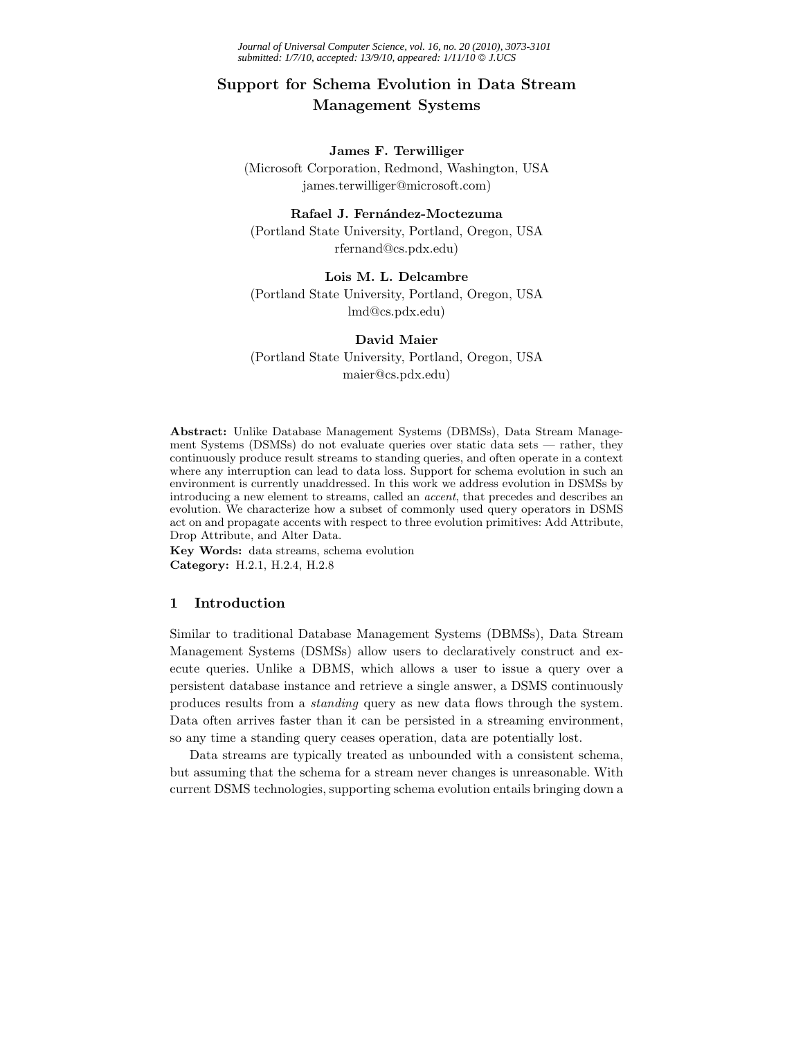*Journal of Universal Computer Science, vol. 16, no. 20 (2010), 3073-3101 submitted: 1/7/10, accepted: 13/9/10, appeared: 1/11/10* © *J.UCS*

# **Support for Schema Evolution in Data Stream Management Systems**

#### **James F. Terwilliger**

(Microsoft Corporation, Redmond, Washington, USA james.terwilliger@microsoft.com)

## **Rafael J. Fern´andez-Moctezuma**

(Portland State University, Portland, Oregon, USA rfernand@cs.pdx.edu)

## **Lois M. L. Delcambre**

(Portland State University, Portland, Oregon, USA lmd@cs.pdx.edu)

## **David Maier**

(Portland State University, Portland, Oregon, USA maier@cs.pdx.edu)

**Abstract:** Unlike Database Management Systems (DBMSs), Data Stream Management Systems (DSMSs) do not evaluate queries over static data sets — rather, they continuously produce result streams to standing queries, and often operate in a context where any interruption can lead to data loss. Support for schema evolution in such an environment is currently unaddressed. In this work we address evolution in DSMSs by introducing a new element to streams, called an *accent*, that precedes and describes an evolution. We characterize how a subset of commonly used query operators in DSMS act on and propagate accents with respect to three evolution primitives: Add Attribute, Drop Attribute, and Alter Data.

**Key Words:** data streams, schema evolution **Category:** H.2.1, H.2.4, H.2.8

## **1 Introduction**

Similar to traditional Database Management Systems (DBMSs), Data Stream Management Systems (DSMSs) allow users to declaratively construct and execute queries. Unlike a DBMS, which allows a user to issue a query over a persistent database instance and retrieve a single answer, a DSMS continuously produces results from a *standing* query as new data flows through the system. Data often arrives faster than it can be persisted in a streaming environment, so any time a standing query ceases operation, data are potentially lost.

Data streams are typically treated as unbounded with a consistent schema, but assuming that the schema for a stream never changes is unreasonable. With current DSMS technologies, supporting schema evolution entails bringing down a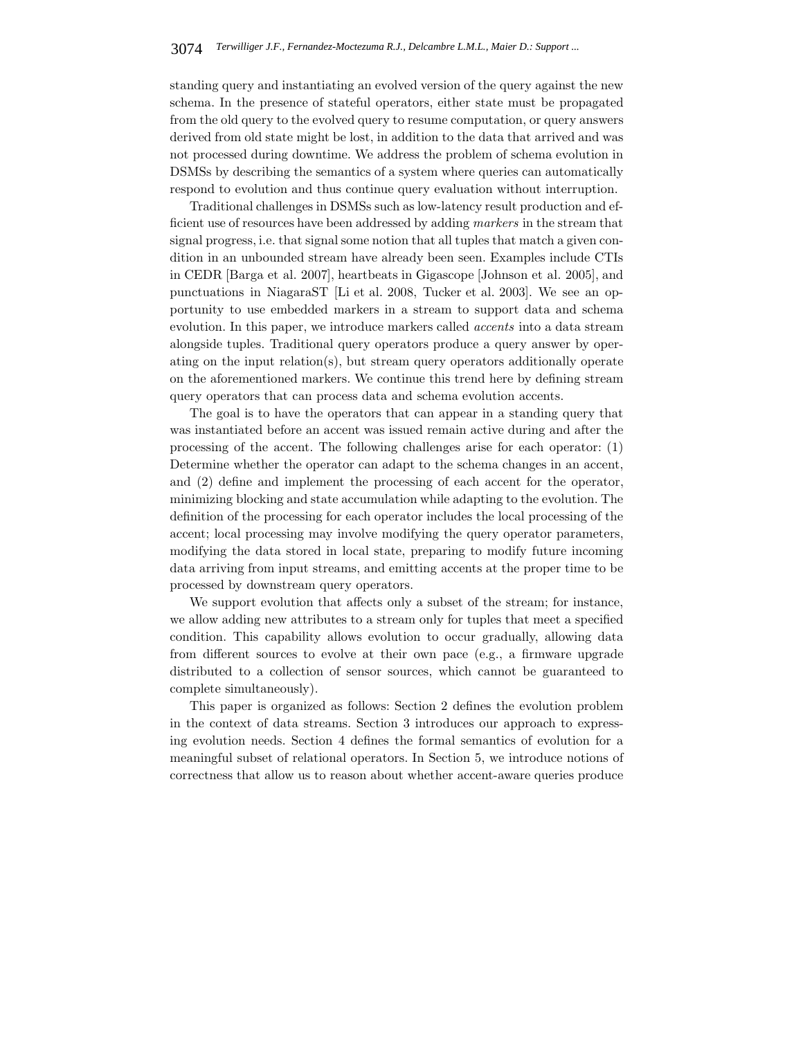standing query and instantiating an evolved version of the query against the new schema. In the presence of stateful operators, either state must be propagated from the old query to the evolved query to resume computation, or query answers derived from old state might be lost, in addition to the data that arrived and was not processed during downtime. We address the problem of schema evolution in DSMSs by describing the semantics of a system where queries can automatically respond to evolution and thus continue query evaluation without interruption.

Traditional challenges in DSMSs such as low-latency result production and efficient use of resources have been addressed by adding *markers* in the stream that signal progress, i.e. that signal some notion that all tuples that match a given condition in an unbounded stream have already been seen. Examples include CTIs in CEDR [Barga et al. 2007], heartbeats in Gigascope [Johnson et al. 2005], and punctuations in NiagaraST [Li et al. 2008, Tucker et al. 2003]. We see an opportunity to use embedded markers in a stream to support data and schema evolution. In this paper, we introduce markers called *accents* into a data stream alongside tuples. Traditional query operators produce a query answer by operating on the input relation(s), but stream query operators additionally operate on the aforementioned markers. We continue this trend here by defining stream query operators that can process data and schema evolution accents.

The goal is to have the operators that can appear in a standing query that was instantiated before an accent was issued remain active during and after the processing of the accent. The following challenges arise for each operator: (1) Determine whether the operator can adapt to the schema changes in an accent, and (2) define and implement the processing of each accent for the operator, minimizing blocking and state accumulation while adapting to the evolution. The definition of the processing for each operator includes the local processing of the accent; local processing may involve modifying the query operator parameters, modifying the data stored in local state, preparing to modify future incoming data arriving from input streams, and emitting accents at the proper time to be processed by downstream query operators.

We support evolution that affects only a subset of the stream; for instance, we allow adding new attributes to a stream only for tuples that meet a specified condition. This capability allows evolution to occur gradually, allowing data from different sources to evolve at their own pace (e.g., a firmware upgrade distributed to a collection of sensor sources, which cannot be guaranteed to complete simultaneously).

This paper is organized as follows: Section 2 defines the evolution problem in the context of data streams. Section 3 introduces our approach to expressing evolution needs. Section 4 defines the formal semantics of evolution for a meaningful subset of relational operators. In Section 5, we introduce notions of correctness that allow us to reason about whether accent-aware queries produce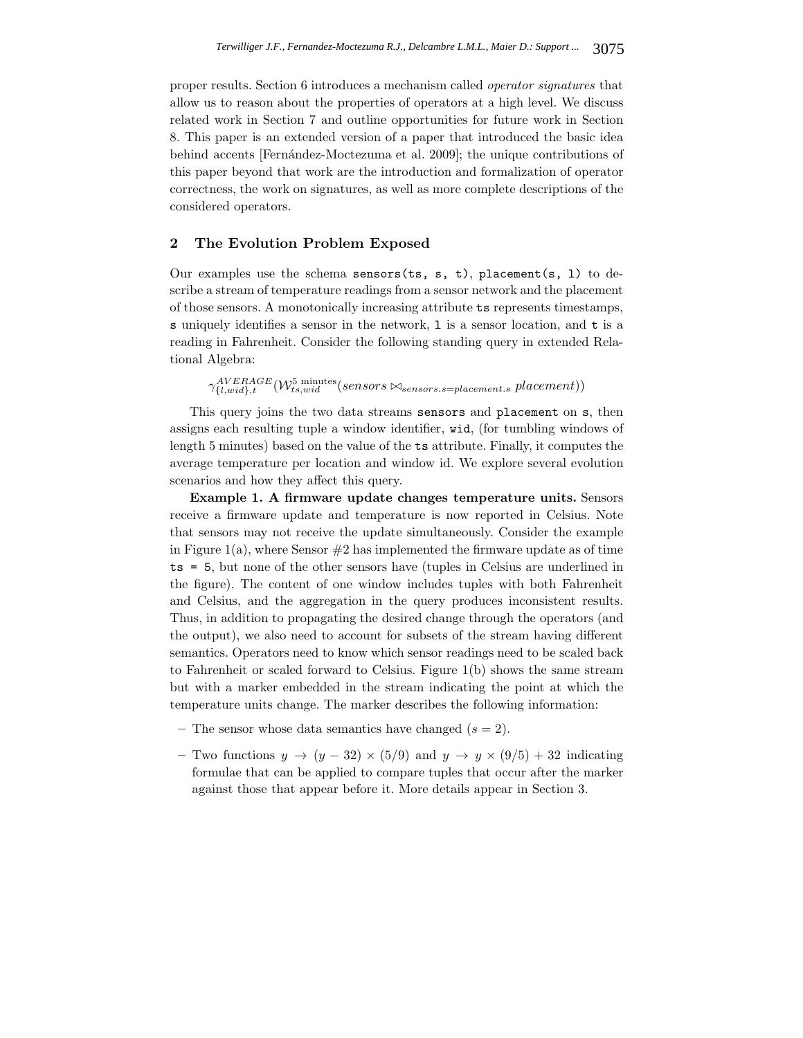proper results. Section 6 introduces a mechanism called *operator signatures* that allow us to reason about the properties of operators at a high level. We discuss related work in Section 7 and outline opportunities for future work in Section 8. This paper is an extended version of a paper that introduced the basic idea behind accents [Fernández-Moctezuma et al. 2009]; the unique contributions of this paper beyond that work are the introduction and formalization of operator correctness, the work on signatures, as well as more complete descriptions of the considered operators.

#### **2 The Evolution Problem Exposed**

Our examples use the schema sensors(ts, s, t), placement(s, 1) to describe a stream of temperature readings from a sensor network and the placement of those sensors. A monotonically increasing attribute ts represents timestamps, s uniquely identifies a sensor in the network, l is a sensor location, and t is a reading in Fahrenheit. Consider the following standing query in extended Relational Algebra:

 $\gamma_{\{l,widl, t, wid\},t}^{AVERAGE}(\mathcal{W}_{ts,wid}^{5 \text{ minutes}}(sensors \otimes_{sensors.s=placement.s} placement))$ 

This query joins the two data streams sensors and placement on s, then assigns each resulting tuple a window identifier, wid, (for tumbling windows of length 5 minutes) based on the value of the ts attribute. Finally, it computes the average temperature per location and window id. We explore several evolution scenarios and how they affect this query.

**Example 1. A firmware update changes temperature units.** Sensors receive a firmware update and temperature is now reported in Celsius. Note that sensors may not receive the update simultaneously. Consider the example in Figure 1(a), where Sensor  $\#2$  has implemented the firmware update as of time ts = 5, but none of the other sensors have (tuples in Celsius are underlined in the figure). The content of one window includes tuples with both Fahrenheit and Celsius, and the aggregation in the query produces inconsistent results. Thus, in addition to propagating the desired change through the operators (and the output), we also need to account for subsets of the stream having different semantics. Operators need to know which sensor readings need to be scaled back to Fahrenheit or scaled forward to Celsius. Figure 1(b) shows the same stream but with a marker embedded in the stream indicating the point at which the temperature units change. The marker describes the following information:

- The sensor whose data semantics have changed  $(s = 2)$ .
- **–** Two functions y → (y − 32) × (5/9) and y → y × (9/5) + 32 indicating formulae that can be applied to compare tuples that occur after the marker against those that appear before it. More details appear in Section 3.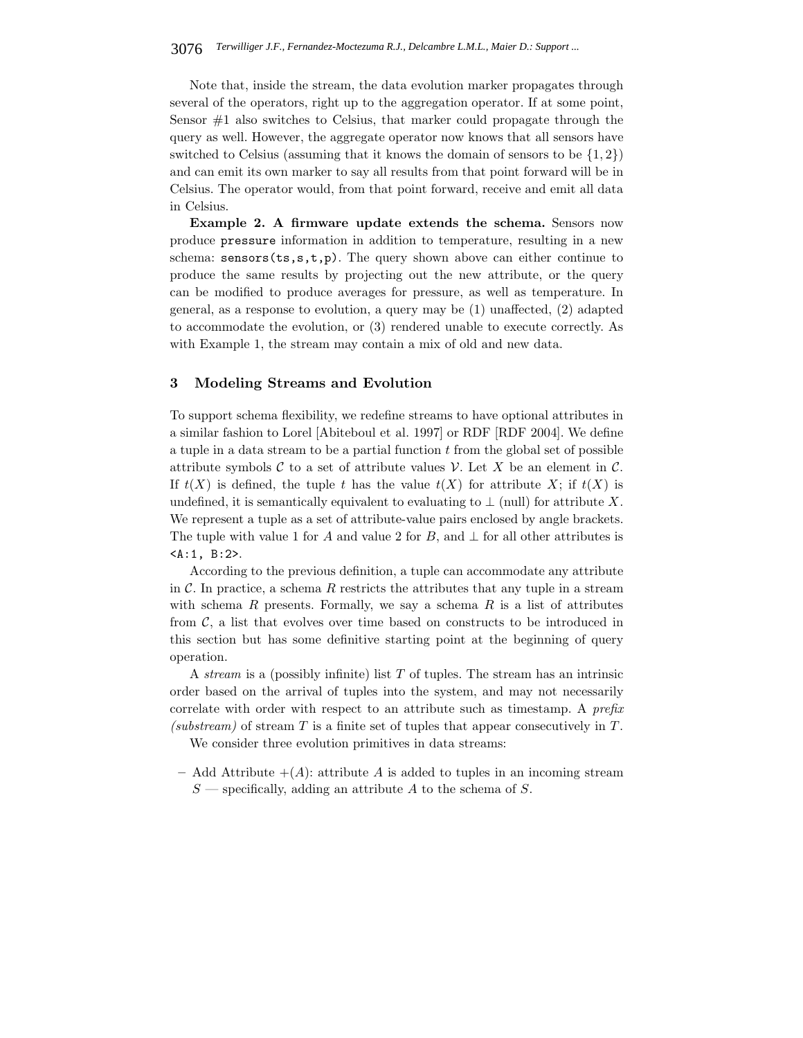Note that, inside the stream, the data evolution marker propagates through several of the operators, right up to the aggregation operator. If at some point, Sensor  $#1$  also switches to Celsius, that marker could propagate through the query as well. However, the aggregate operator now knows that all sensors have switched to Celsius (assuming that it knows the domain of sensors to be  $\{1,2\}$ ) and can emit its own marker to say all results from that point forward will be in Celsius. The operator would, from that point forward, receive and emit all data in Celsius.

**Example 2. A firmware update extends the schema.** Sensors now produce pressure information in addition to temperature, resulting in a new schema:  $sensors(ts,s,t,p)$ . The query shown above can either continue to produce the same results by projecting out the new attribute, or the query can be modified to produce averages for pressure, as well as temperature. In general, as a response to evolution, a query may be (1) unaffected, (2) adapted to accommodate the evolution, or (3) rendered unable to execute correctly. As with Example 1, the stream may contain a mix of old and new data.

#### **3 Modeling Streams and Evolution**

To support schema flexibility, we redefine streams to have optional attributes in a similar fashion to Lorel [Abiteboul et al. 1997] or RDF [RDF 2004]. We define a tuple in a data stream to be a partial function  $t$  from the global set of possible attribute symbols  $\mathcal C$  to a set of attribute values  $\mathcal V$ . Let X be an element in  $\mathcal C$ . If  $t(X)$  is defined, the tuple t has the value  $t(X)$  for attribute X; if  $t(X)$  is undefined, it is semantically equivalent to evaluating to  $\perp$  (null) for attribute X. We represent a tuple as a set of attribute-value pairs enclosed by angle brackets. The tuple with value 1 for A and value 2 for B, and  $\perp$  for all other attributes is <A:1, B:2>.

According to the previous definition, a tuple can accommodate any attribute in  $\mathcal C$ . In practice, a schema R restricts the attributes that any tuple in a stream with schema  $R$  presents. Formally, we say a schema  $R$  is a list of attributes from  $\mathcal{C}$ , a list that evolves over time based on constructs to be introduced in this section but has some definitive starting point at the beginning of query operation.

A *stream* is a (possibly infinite) list T of tuples. The stream has an intrinsic order based on the arrival of tuples into the system, and may not necessarily correlate with order with respect to an attribute such as timestamp. A *prefix*  $(substream)$  of stream T is a finite set of tuples that appear consecutively in T.

We consider three evolution primitives in data streams:

– Add Attribute  $+(A)$ : attribute A is added to tuples in an incoming stream  $S$  — specifically, adding an attribute A to the schema of S.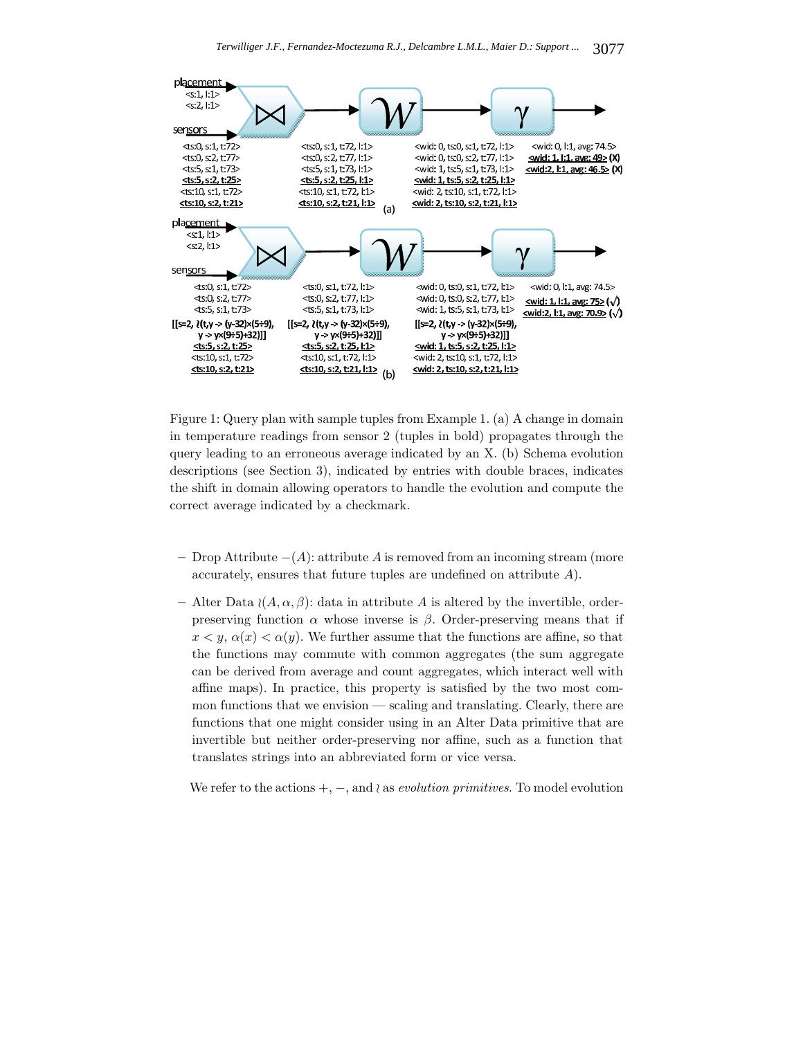

Figure 1: Query plan with sample tuples from Example 1. (a) A change in domain in temperature readings from sensor 2 (tuples in bold) propagates through the query leading to an erroneous average indicated by an X. (b) Schema evolution descriptions (see Section 3), indicated by entries with double braces, indicates the shift in domain allowing operators to handle the evolution and compute the correct average indicated by a checkmark.

- **–** Drop Attribute −(A): attribute A is removed from an incoming stream (more accurately, ensures that future tuples are undefined on attribute A).
- **–** Alter Data (A, α, β): data in attribute A is altered by the invertible, orderpreserving function  $\alpha$  whose inverse is  $\beta$ . Order-preserving means that if  $x < y$ ,  $\alpha(x) < \alpha(y)$ . We further assume that the functions are affine, so that the functions may commute with common aggregates (the sum aggregate can be derived from average and count aggregates, which interact well with affine maps). In practice, this property is satisfied by the two most common functions that we envision — scaling and translating. Clearly, there are functions that one might consider using in an Alter Data primitive that are invertible but neither order-preserving nor affine, such as a function that translates strings into an abbreviated form or vice versa.

We refer to the actions  $+$ ,  $-$ , and  $\lambda$  as *evolution primitives*. To model evolution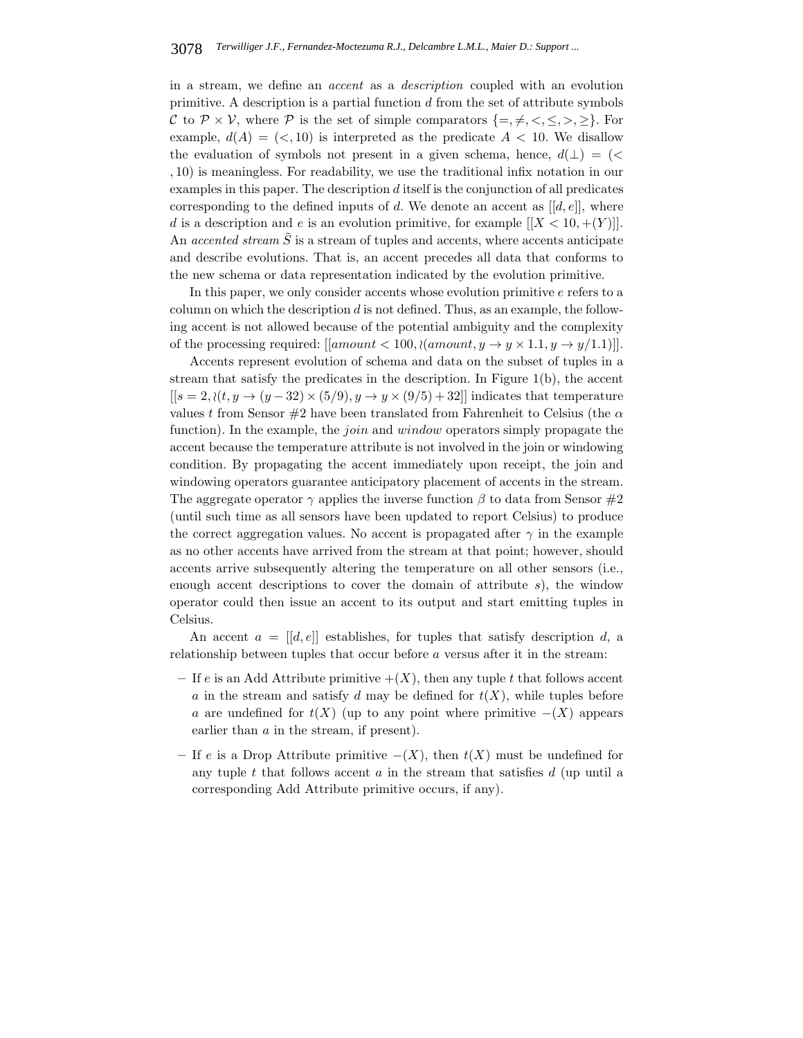in a stream, we define an *accent* as a *description* coupled with an evolution primitive. A description is a partial function  $d$  from the set of attribute symbols C to  $\mathcal{P} \times \mathcal{V}$ , where  $\mathcal{P}$  is the set of simple comparators  $\{=,\neq,<,\leq,>,\geq\}$ . For example,  $d(A)=(\le, 10)$  is interpreted as the predicate  $A < 10$ . We disallow the evaluation of symbols not present in a given schema, hence,  $d(\perp) = (\lt$ , 10) is meaningless. For readability, we use the traditional infix notation in our examples in this paper. The description d itself is the conjunction of all predicates corresponding to the defined inputs of d. We denote an accent as  $[[d, e]],$  where d is a description and e is an evolution primitive, for example  $[[X < 10, +(Y)]]$ . An *accented stream*  $\tilde{S}$  is a stream of tuples and accents, where accents anticipate and describe evolutions. That is, an accent precedes all data that conforms to the new schema or data representation indicated by the evolution primitive.

In this paper, we only consider accents whose evolution primitive e refers to a column on which the description  $d$  is not defined. Thus, as an example, the following accent is not allowed because of the potential ambiguity and the complexity of the processing required:  $\left[ \left[ amount < 100 \right], \left( amount, y \rightarrow y \times 1.1, y \rightarrow y/1.1 \right) \right]$ .

Accents represent evolution of schema and data on the subset of tuples in a stream that satisfy the predicates in the description. In Figure 1(b), the accent  $[[s = 2, \langle (t, y \rightarrow (y - 32) \times (5/9), y \rightarrow y \times (9/5) + 32]]$  indicates that temperature values t from Sensor #2 have been translated from Fahrenheit to Celsius (the  $\alpha$ function). In the example, the *join* and *window* operators simply propagate the accent because the temperature attribute is not involved in the join or windowing condition. By propagating the accent immediately upon receipt, the join and windowing operators guarantee anticipatory placement of accents in the stream. The aggregate operator  $\gamma$  applies the inverse function  $\beta$  to data from Sensor #2 (until such time as all sensors have been updated to report Celsius) to produce the correct aggregation values. No accent is propagated after  $\gamma$  in the example as no other accents have arrived from the stream at that point; however, should accents arrive subsequently altering the temperature on all other sensors (i.e., enough accent descriptions to cover the domain of attribute  $s$ ), the window operator could then issue an accent to its output and start emitting tuples in Celsius.

An accent  $a = [[d, e]]$  establishes, for tuples that satisfy description d, a relationship between tuples that occur before a versus after it in the stream:

- If e is an Add Attribute primitive  $+(X)$ , then any tuple t that follows accent a in the stream and satisfy d may be defined for  $t(X)$ , while tuples before a are undefined for  $t(X)$  (up to any point where primitive  $-(X)$  appears earlier than a in the stream, if present).
- **–** If e is a Drop Attribute primitive −(X), then t(X) must be undefined for any tuple  $t$  that follows accent  $a$  in the stream that satisfies  $d$  (up until a corresponding Add Attribute primitive occurs, if any).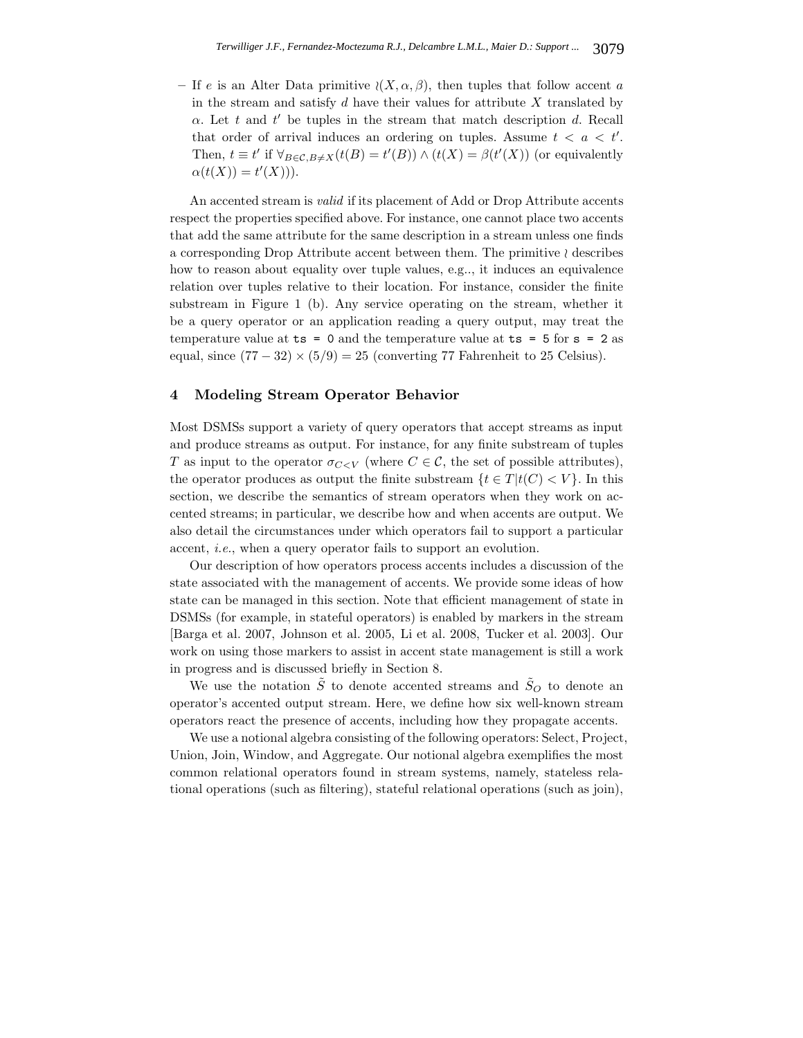– If e is an Alter Data primitive  $\langle (X, \alpha, \beta) \rangle$ , then tuples that follow accent a in the stream and satisfy  $d$  have their values for attribute  $X$  translated by  $\alpha$ . Let t and t' be tuples in the stream that match description d. Recall that order of arrival induces an ordering on tuples. Assume  $t < a < t'$ . Then,  $t \equiv t'$  if  $\forall_{B \in \mathcal{C}, B \neq X}(t(B) = t'(B)) \wedge (t(X) = \beta(t'(X))$  (or equivalently  $\alpha(t(X)) = t'(X)).$ 

An accented stream is *valid* if its placement of Add or Drop Attribute accents respect the properties specified above. For instance, one cannot place two accents that add the same attribute for the same description in a stream unless one finds a corresponding Drop Attribute accent between them. The primitive  $\wr$  describes how to reason about equality over tuple values, e.g.., it induces an equivalence relation over tuples relative to their location. For instance, consider the finite substream in Figure 1 (b). Any service operating on the stream, whether it be a query operator or an application reading a query output, may treat the temperature value at  $ts = 0$  and the temperature value at  $ts = 5$  for  $s = 2$  as equal, since  $(77-32) \times (5/9) = 25$  (converting 77 Fahrenheit to 25 Celsius).

# **4 Modeling Stream Operator Behavior**

Most DSMSs support a variety of query operators that accept streams as input and produce streams as output. For instance, for any finite substream of tuples T as input to the operator  $\sigma_{C\lt V}$  (where  $C\in\mathcal{C}$ , the set of possible attributes), the operator produces as output the finite substream  $\{t \in T | t(C) < V\}$ . In this section, we describe the semantics of stream operators when they work on accented streams; in particular, we describe how and when accents are output. We also detail the circumstances under which operators fail to support a particular accent, *i.e.*, when a query operator fails to support an evolution.

Our description of how operators process accents includes a discussion of the state associated with the management of accents. We provide some ideas of how state can be managed in this section. Note that efficient management of state in DSMSs (for example, in stateful operators) is enabled by markers in the stream [Barga et al. 2007, Johnson et al. 2005, Li et al. 2008, Tucker et al. 2003]. Our work on using those markers to assist in accent state management is still a work in progress and is discussed briefly in Section 8.

We use the notation  $\tilde{S}$  to denote accented streams and  $\tilde{S}_O$  to denote an operator's accented output stream. Here, we define how six well-known stream operators react the presence of accents, including how they propagate accents.

We use a notional algebra consisting of the following operators: Select, Project, Union, Join, Window, and Aggregate. Our notional algebra exemplifies the most common relational operators found in stream systems, namely, stateless relational operations (such as filtering), stateful relational operations (such as join),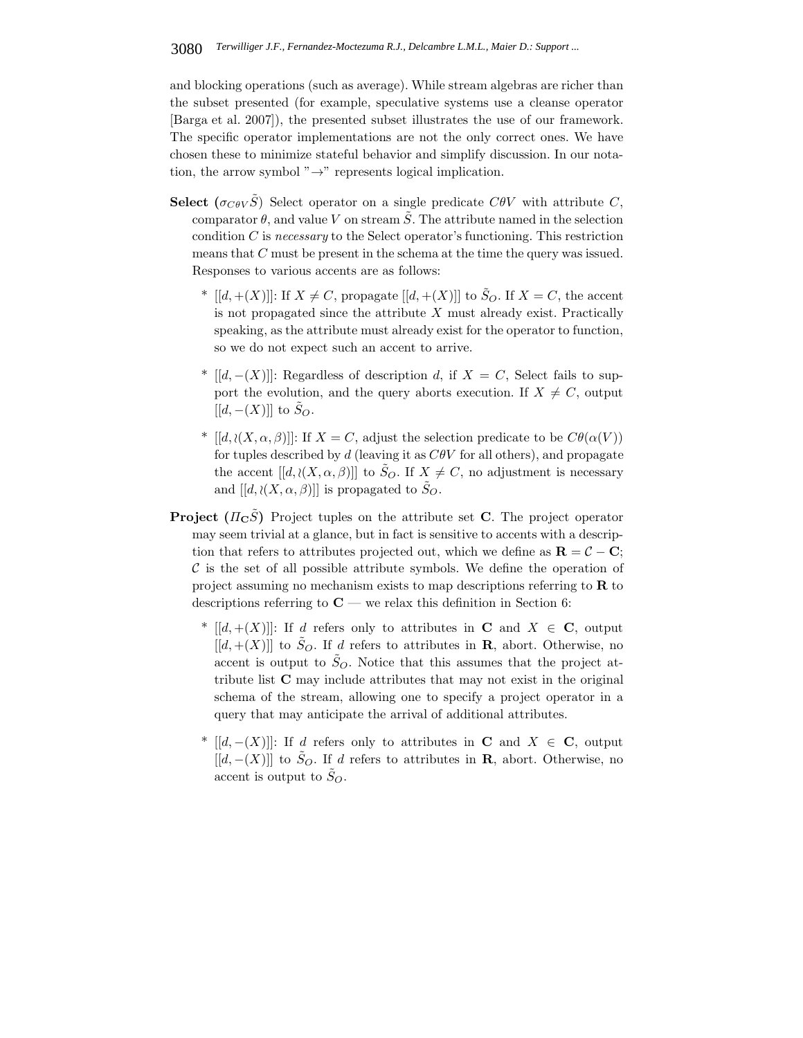and blocking operations (such as average). While stream algebras are richer than the subset presented (for example, speculative systems use a cleanse operator [Barga et al. 2007]), the presented subset illustrates the use of our framework. The specific operator implementations are not the only correct ones. We have chosen these to minimize stateful behavior and simplify discussion. In our notation, the arrow symbol " $\rightarrow$ " represents logical implication.

- **Select** ( $\sigma_{\text{C}\theta\text{V}}\tilde{S}$ ) Select operator on a single predicate C $\theta$ V with attribute C, comparator  $\theta$ , and value V on stream  $\tilde{S}$ . The attribute named in the selection condition C is *necessary* to the Select operator's functioning. This restriction means that  $C$  must be present in the schema at the time the query was issued. Responses to various accents are as follows:
	- \*  $[[d,+(X)]]:$  If  $X \neq C$ , propagate  $[[d,+(X)]]$  to  $\tilde{S}_O$ . If  $X = C$ , the accent is not propagated since the attribute  $X$  must already exist. Practically speaking, as the attribute must already exist for the operator to function, so we do not expect such an accent to arrive.
	- <sup>\*</sup> [[d, -(X)]]: Regardless of description d, if  $X = C$ , Select fails to support the evolution, and the query aborts execution. If  $X \neq C$ , output  $[[d, -(X)]]$  to  $\tilde{S}_O$ .
	- <sup>\*</sup>  $[[d, \langle (X, \alpha, \beta)]]$ : If  $X = C$ , adjust the selection predicate to be  $C\theta(\alpha(V))$ for tuples described by  $d$  (leaving it as  $C\theta V$  for all others), and propagate the accent  $[[d, \langle (X, \alpha, \beta)]]$  to  $S_O$ . If  $X \neq C$ , no adjustment is necessary and  $[[d, \lambda(X, \alpha, \beta)]]$  is propagated to  $\tilde{S}_O$ .
- **Project**  $(\Pi_{\mathbf{C}}\tilde{S})$  Project tuples on the attribute set **C**. The project operator may seem trivial at a glance, but in fact is sensitive to accents with a description that refers to attributes projected out, which we define as  $\mathbf{R} = C - \mathbf{C}$ ;  $\mathcal C$  is the set of all possible attribute symbols. We define the operation of project assuming no mechanism exists to map descriptions referring to **R** to descriptions referring to  $C$  — we relax this definition in Section 6:
	- <sup>\*</sup>  $[[d, +(X)]]$ : If d refers only to attributes in **C** and  $X \in \mathbb{C}$ , output  $[[d, +(X)]]$  to  $\tilde{S}_Q$ . If d refers to attributes in **R**, abort. Otherwise, no accent is output to  $\tilde{S}_O$ . Notice that this assumes that the project attribute list **C** may include attributes that may not exist in the original schema of the stream, allowing one to specify a project operator in a query that may anticipate the arrival of additional attributes.
	- <sup>\*</sup> [[d, -(X)]]: If d refers only to attributes in **C** and  $X \in \mathbb{C}$ , output  $[[d, -(X)]]$  to  $\tilde{S}_O$ . If d refers to attributes in **R**, abort. Otherwise, no accent is output to  $S_O$ .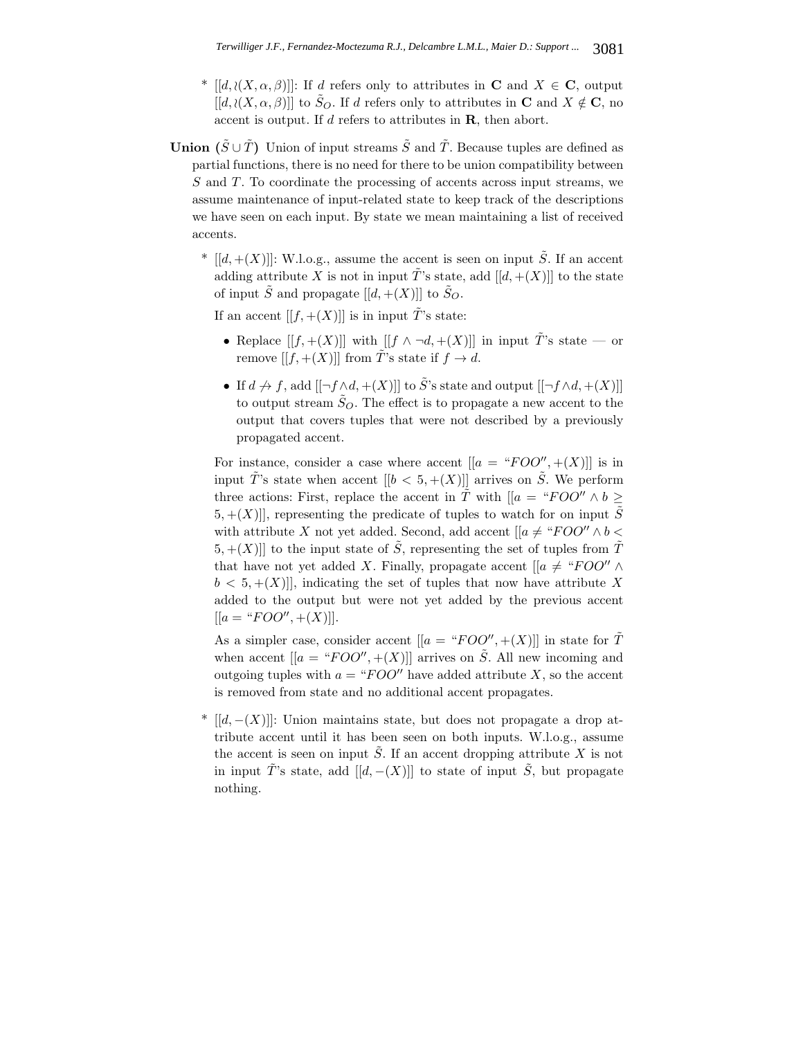- <sup>\*</sup>  $[[d, \langle (X, \alpha, \beta)]]$ : If d refers only to attributes in **C** and  $X \in \mathbf{C}$ , output  $[[d, \langle (X, \alpha, \beta)]]$  to  $\tilde{S}_O$ . If d refers only to attributes in **C** and  $X \notin \mathbf{C}$ , no accent is output. If d refers to attributes in **R**, then abort.
- **Union**  $(\tilde{S} \cup \tilde{T})$  Union of input streams  $\tilde{S}$  and  $\tilde{T}$ . Because tuples are defined as partial functions, there is no need for there to be union compatibility between S and T. To coordinate the processing of accents across input streams, we assume maintenance of input-related state to keep track of the descriptions we have seen on each input. By state we mean maintaining a list of received accents.
	- \*  $[[d, +(X)]]$ : W.l.o.g., assume the accent is seen on input  $\tilde{S}$ . If an accent adding attribute X is not in input  $\tilde{T}$ 's state, add  $[[d, +(X)]]$  to the state of input  $\tilde{S}$  and propagate  $[[d, +(X)]]$  to  $\tilde{S}_{Q}$ .

If an accent  $[[f,+(X)]]$  is in input  $\tilde{T}$ 's state:

- Replace  $[[f,+(X)]]$  with  $[[f \wedge \neg d,+(X)]]$  in input  $\tilde{T}$ 's state or remove  $[[f,+(X)]]$  from  $\tilde{T}$ 's state if  $f \to d$ .
- If  $d \nrightarrow f$ , add  $[[\neg f \wedge d, \neg (X)]]$  to  $\tilde{S}$ 's state and output  $[[\neg f \wedge d, \neg (X)]]$ to output stream  $\tilde{S}_O$ . The effect is to propagate a new accent to the output that covers tuples that were not described by a previously propagated accent.

For instance, consider a case where accent  $[[a = "FOO", +(X)]]$  is in input  $\tilde{T}$ 's state when accent  $[[b < 5, + (X)]]$  arrives on  $\tilde{S}$ . We perform three actions: First, replace the accent in  $\tilde{T}$  with  $\left[ a = \text{``FOO''} \land b \geq a \right]$  $[5, +(X)]$ , representing the predicate of tuples to watch for on input  $\tilde{S}$ with attribute X not yet added. Second, add accent  $[[a \neq "FOO" \wedge b \lt$ 5,  $+(X)$ ] to the input state of  $\tilde{S}$ , representing the set of tuples from  $\tilde{T}$ that have not yet added X. Finally, propagate accent  $[[a \neq "FOO" \wedge$  $b < 5, \pm (X)$ ], indicating the set of tuples that now have attribute X added to the output but were not yet added by the previous accent  $[[a = "FOO", +(X)]].$ 

As a simpler case, consider accent  $[[a = "FOO", +(X)]]$  in state for  $\tilde{T}$ when accent  $[[a = "FOO", +(X)]]$  arrives on  $\tilde{S}$ . All new incoming and outgoing tuples with  $a = "FOO"$  have added attribute X, so the accent is removed from state and no additional accent propagates.

\*  $[[d, -(X)]]$ : Union maintains state, but does not propagate a drop attribute accent until it has been seen on both inputs. W.l.o.g., assume the accent is seen on input  $\tilde{S}$ . If an accent dropping attribute X is not in input  $\tilde{T}$ 's state, add  $[[d, -(X)]]$  to state of input  $\tilde{S}$ , but propagate nothing.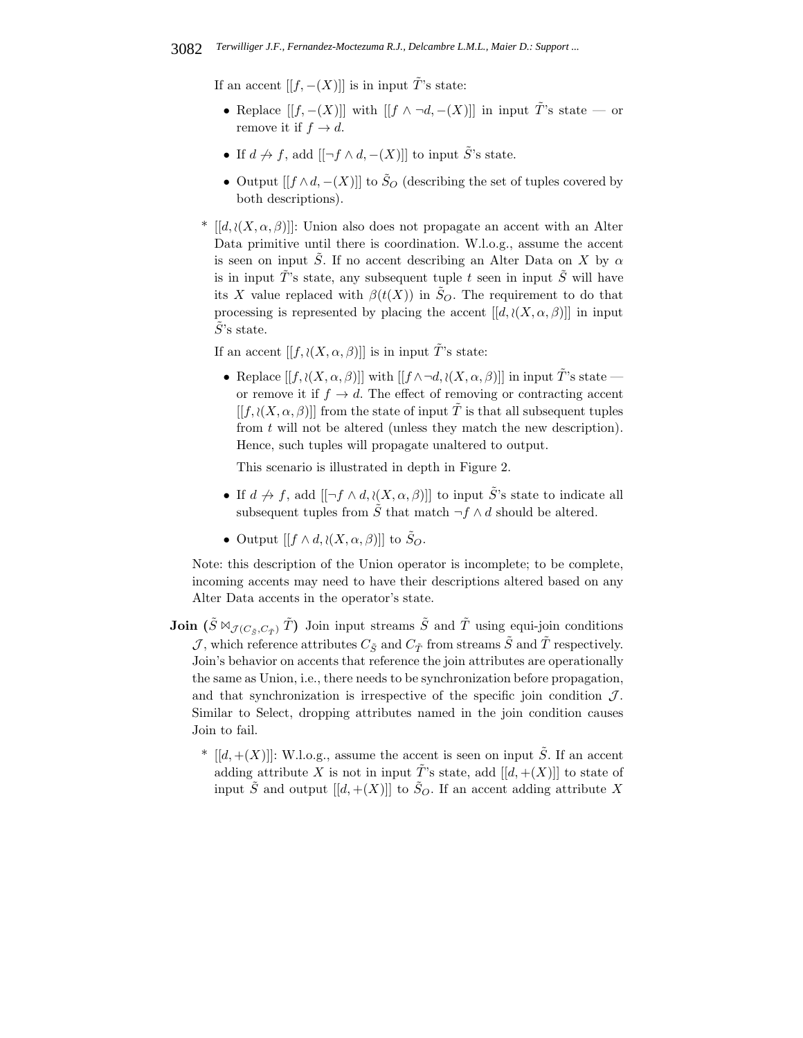If an accent  $[[f, -(X)]]$  is in input  $\tilde{T}$ 's state:

- Replace  $[[f, -(X)]]$  with  $[[f \wedge \neg d, -(X)]]$  in input  $\tilde{T}$ 's state or remove it if  $f \rightarrow d$ .
- If  $d \nightharpoonup f$ , add  $[[\neg f \wedge d, -(X)]]$  to input  $\tilde{S}'$ 's state.
- Output  $[[f \wedge d, -(X)]]$  to  $\tilde{S}_O$  (describing the set of tuples covered by both descriptions).
- <sup>\*</sup> [[d,  $\langle (X, \alpha, \beta)$ ]]: Union also does not propagate an accent with an Alter Data primitive until there is coordination. W.l.o.g., assume the accent is seen on input  $\tilde{S}$ . If no accent describing an Alter Data on X by  $\alpha$ is in input  $\tilde{T}$ 's state, any subsequent tuple t seen in input  $\tilde{S}$  will have its X value replaced with  $\beta(t(X))$  in  $\tilde{S}_O$ . The requirement to do that processing is represented by placing the accent  $[[d, \iota(X, \alpha, \beta)]]$  in input  $S$ 's state.

If an accent  $[[f, \lambda(X, \alpha, \beta)]]$  is in input  $\tilde{T}$ 's state:

• Replace  $[[f, \lambda(X, \alpha, \beta)]]$  with  $[[f \wedge \neg d, \lambda(X, \alpha, \beta)]]$  in input  $\tilde{T}$ 's state or remove it if  $f \rightarrow d$ . The effect of removing or contracting accent  $[[f, \lambda(X, \alpha, \beta)]]$  from the state of input  $\tilde{T}$  is that all subsequent tuples from t will not be altered (unless they match the new description). Hence, such tuples will propagate unaltered to output.

This scenario is illustrated in depth in Figure 2.

- If  $d \nrightarrow f$ , add  $[[\neg f \wedge d, \langle (X, \alpha, \beta)]]$  to input  $\tilde{S}$ 's state to indicate all subsequent tuples from  $\tilde{S}$  that match  $\neg f \wedge d$  should be altered.
- Output  $[[f \wedge d, \lambda(X, \alpha, \beta)]]$  to  $\tilde{S}_Q$ .

Note: this description of the Union operator is incomplete; to be complete, incoming accents may need to have their descriptions altered based on any Alter Data accents in the operator's state.

- **Join**  $(\tilde{S} \boxtimes_{\mathcal{J}(C_{\tilde{S}}, C_{\tilde{T}})} \tilde{T})$  Join input streams  $\tilde{S}$  and  $\tilde{T}$  using equi-join conditions  ${\cal J},$  which reference attributes  $C_{\tilde S}$  and  $C_{\tilde T}$  from streams  $\tilde S$  and  $\tilde T$  respectively. Join's behavior on accents that reference the join attributes are operationally the same as Union, i.e., there needs to be synchronization before propagation, and that synchronization is irrespective of the specific join condition  $\mathcal{J}$ . Similar to Select, dropping attributes named in the join condition causes Join to fail.
	- \*  $[[d,+(X)]]$ : W.l.o.g., assume the accent is seen on input  $\tilde{S}$ . If an accent adding attribute X is not in input  $\tilde{T}$ 's state, add  $[[d, +(X)]]$  to state of input  $\tilde{S}$  and output  $[[d,+(X)]]$  to  $\tilde{S}_O$ . If an accent adding attribute X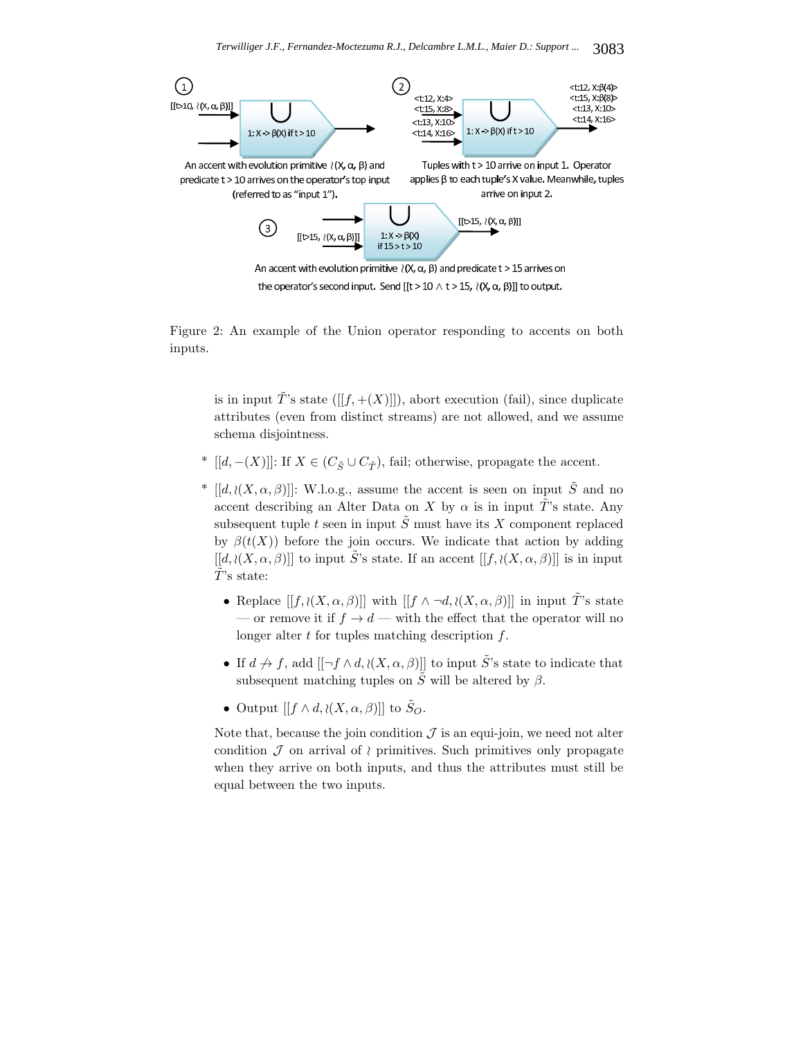

An accent with evolution primitive  $\wr$  (X,  $\alpha$ ,  $\beta$ ) and predicate t > 15 arrives on the operator's second input. Send [[t > 10  $\wedge$  t > 15,  $\wr$ (X,  $\alpha$ ,  $\beta$ )]] to output.

Figure 2: An example of the Union operator responding to accents on both inputs.

is in input  $\tilde{T}$ 's state ([[f, +(X)]]), abort execution (fail), since duplicate attributes (even from distinct streams) are not allowed, and we assume schema disjointness.

- <sup>\*</sup> [[d, –(X)]]: If  $X \in (C_{\tilde{\sigma}} \cup C_{\tilde{\tau}})$ , fail; otherwise, propagate the accent.
- \*  $[[d, \langle (X, \alpha, \beta)]]$ : W.l.o.g., assume the accent is seen on input  $\tilde{S}$  and no accent describing an Alter Data on X by  $\alpha$  is in input  $\tilde{T}$ 's state. Any subsequent tuple t seen in input  $\tilde{S}$  must have its X component replaced by  $\beta(t(X))$  before the join occurs. We indicate that action by adding  $[[d, \langle (X, \alpha, \beta)]]$  to input  $\tilde{S}$ 's state. If an accent  $[[f, \langle (X, \alpha, \beta)]]$  is in input  $\tilde{T}$ 's state:
	- Replace  $[[f, \iota(X, \alpha, \beta)]]$  with  $[[f \wedge \neg d, \iota(X, \alpha, \beta)]]$  in input  $\tilde{T}$ 's state — or remove it if  $f \to d$  — with the effect that the operator will no longer alter  $t$  for tuples matching description  $f$ .
	- If  $d \nrightarrow f$ , add  $[[\neg f \wedge d, \langle (X, \alpha, \beta)]]$  to input  $\tilde{S}'$ 's state to indicate that subsequent matching tuples on  $\tilde{S}$  will be altered by  $\beta$ .
	- Output  $[[f \wedge d, \lambda(X, \alpha, \beta)]]$  to  $\tilde{S}_O$ .

Note that, because the join condition  $\mathcal J$  is an equi-join, we need not alter condition  $\mathcal J$  on arrival of  $\wr$  primitives. Such primitives only propagate when they arrive on both inputs, and thus the attributes must still be equal between the two inputs.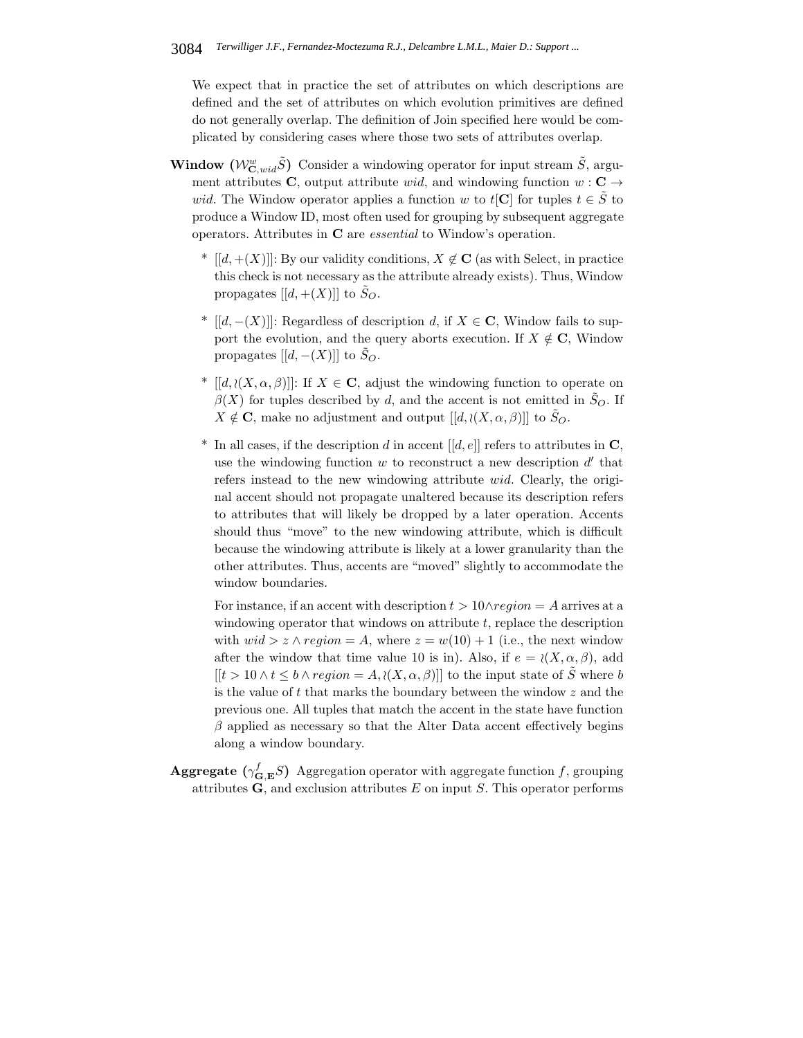We expect that in practice the set of attributes on which descriptions are defined and the set of attributes on which evolution primitives are defined do not generally overlap. The definition of Join specified here would be complicated by considering cases where those two sets of attributes overlap.

- **Window**  $(W_{\mathbf{C},wid}^w \tilde{S})$  Consider a windowing operator for input stream  $\tilde{S}$ , argument attributes **C**, output attribute wid, and windowing function  $w : \mathbf{C} \to$ wid. The Window operator applies a function w to  $t[\mathbf{C}]$  for tuples  $t \in \tilde{S}$  to produce a Window ID, most often used for grouping by subsequent aggregate operators. Attributes in **C** are *essential* to Window's operation.
	- <sup>\*</sup>  $[[d, +(X)]]$ : By our validity conditions,  $X \notin \mathbf{C}$  (as with Select, in practice this check is not necessary as the attribute already exists). Thus, Window propagates  $[[d, +(X)]]$  to  $S_O$ .
	- <sup>\*</sup> [[d, –(X)]]: Regardless of description d, if  $X \in \mathbb{C}$ , Window fails to support the evolution, and the query aborts execution. If  $X \notin \mathbb{C}$ , Window propagates  $[[d, -(X)]]$  to  $S_O$ .
	- <sup>\*</sup>  $[[d, \langle (X, \alpha, \beta)]]$ : If  $X \in \mathbb{C}$ , adjust the windowing function to operate on  $\beta(X)$  for tuples described by d, and the accent is not emitted in  $\tilde{S}_O$ . If  $X \notin \mathbf{C}$ , make no adjustment and output  $[[d, \mathcal{X}, \alpha, \beta]]$  to  $\tilde{S}_Q$ .
	- <sup>\*</sup> In all cases, if the description d in accent  $[[d, e]]$  refers to attributes in **C**, use the windowing function  $w$  to reconstruct a new description  $d'$  that refers instead to the new windowing attribute  $wid.$  Clearly, the original accent should not propagate unaltered because its description refers to attributes that will likely be dropped by a later operation. Accents should thus "move" to the new windowing attribute, which is difficult because the windowing attribute is likely at a lower granularity than the other attributes. Thus, accents are "moved" slightly to accommodate the window boundaries.

For instance, if an accent with description  $t > 10 \wedge region = A$  arrives at a windowing operator that windows on attribute  $t$ , replace the description with  $wid > z \wedge region = A$ , where  $z = w(10) + 1$  (i.e., the next window after the window that time value 10 is in). Also, if  $e = \langle (X, \alpha, \beta) \rangle$ , add  $[[t > 10 \wedge t \leq b \wedge region = A, \langle (X, \alpha, \beta) ]]$  to the input state of  $\tilde{S}$  where b is the value of  $t$  that marks the boundary between the window  $z$  and the previous one. All tuples that match the accent in the state have function  $\beta$  applied as necessary so that the Alter Data accent effectively begins along a window boundary.

**Aggregate** ( $\gamma_{\mathbf{G},\mathbf{E}}^f S$ ) Aggregation operator with aggregate function f, grouping attributes  $\bf{G}$ , and exclusion attributes  $E$  on input  $S$ . This operator performs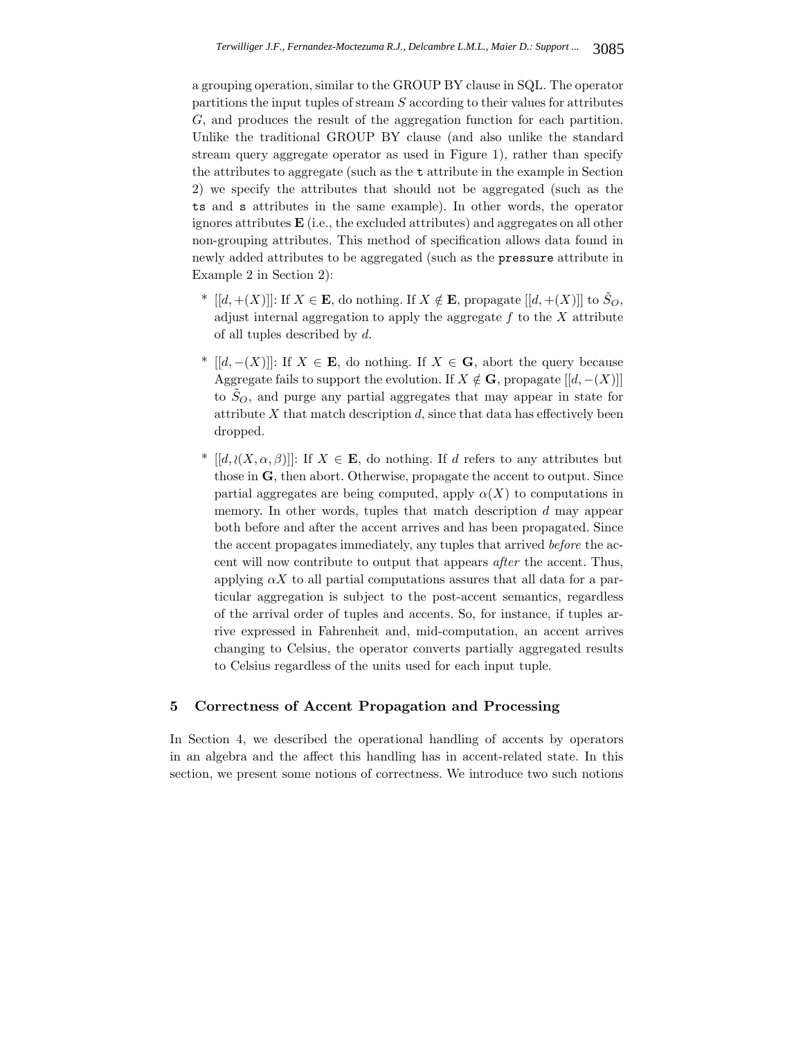a grouping operation, similar to the GROUP BY clause in SQL. The operator partitions the input tuples of stream  $S$  according to their values for attributes G, and produces the result of the aggregation function for each partition. Unlike the traditional GROUP BY clause (and also unlike the standard stream query aggregate operator as used in Figure 1), rather than specify the attributes to aggregate (such as the t attribute in the example in Section 2) we specify the attributes that should not be aggregated (such as the ts and s attributes in the same example). In other words, the operator ignores attributes **E** (i.e., the excluded attributes) and aggregates on all other non-grouping attributes. This method of specification allows data found in newly added attributes to be aggregated (such as the pressure attribute in Example 2 in Section 2):

- <sup>\*</sup>  $[[d, +(X)]]$ : If  $X \in \mathbf{E}$ , do nothing. If  $X \notin \mathbf{E}$ , propagate  $[[d, +(X)]]$  to  $\tilde{S}_O$ , adjust internal aggregation to apply the aggregate  $f$  to the  $X$  attribute of all tuples described by d.
- <sup>\*</sup> [[d, –(X)]]: If  $X \in \mathbf{E}$ , do nothing. If  $X \in \mathbf{G}$ , abort the query because Aggregate fails to support the evolution. If  $X \notin \mathbf{G}$ , propagate  $[[d, -(X)]]$ to  $S_O$ , and purge any partial aggregates that may appear in state for attribute  $X$  that match description  $d$ , since that data has effectively been dropped.
- <sup>\*</sup>  $[[d, \langle (X, \alpha, \beta)]]$ : If  $X \in \mathbf{E}$ , do nothing. If d refers to any attributes but those in **G**, then abort. Otherwise, propagate the accent to output. Since partial aggregates are being computed, apply  $\alpha(X)$  to computations in memory. In other words, tuples that match description d may appear both before and after the accent arrives and has been propagated. Since the accent propagates immediately, any tuples that arrived *before* the accent will now contribute to output that appears *after* the accent. Thus, applying  $\alpha X$  to all partial computations assures that all data for a particular aggregation is subject to the post-accent semantics, regardless of the arrival order of tuples and accents. So, for instance, if tuples arrive expressed in Fahrenheit and, mid-computation, an accent arrives changing to Celsius, the operator converts partially aggregated results to Celsius regardless of the units used for each input tuple.

# **5 Correctness of Accent Propagation and Processing**

In Section 4, we described the operational handling of accents by operators in an algebra and the affect this handling has in accent-related state. In this section, we present some notions of correctness. We introduce two such notions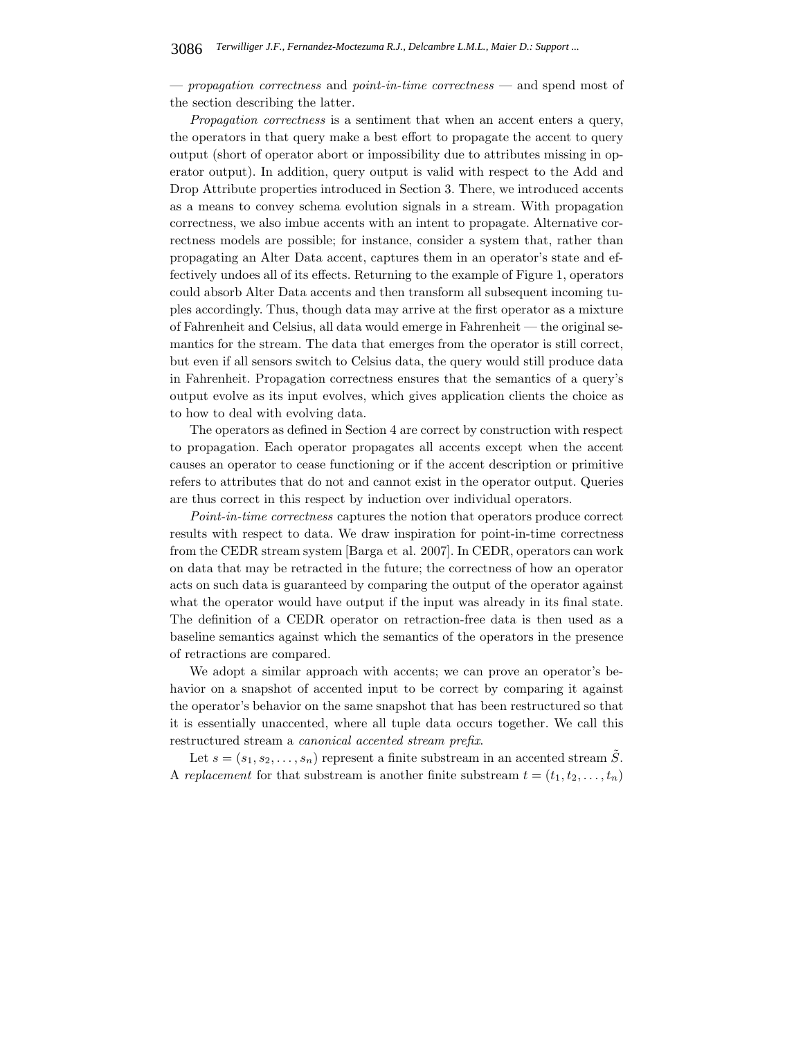— *propagation correctness* and *point-in-time correctness* — and spend most of the section describing the latter.

*Propagation correctness* is a sentiment that when an accent enters a query, the operators in that query make a best effort to propagate the accent to query output (short of operator abort or impossibility due to attributes missing in operator output). In addition, query output is valid with respect to the Add and Drop Attribute properties introduced in Section 3. There, we introduced accents as a means to convey schema evolution signals in a stream. With propagation correctness, we also imbue accents with an intent to propagate. Alternative correctness models are possible; for instance, consider a system that, rather than propagating an Alter Data accent, captures them in an operator's state and effectively undoes all of its effects. Returning to the example of Figure 1, operators could absorb Alter Data accents and then transform all subsequent incoming tuples accordingly. Thus, though data may arrive at the first operator as a mixture of Fahrenheit and Celsius, all data would emerge in Fahrenheit — the original semantics for the stream. The data that emerges from the operator is still correct, but even if all sensors switch to Celsius data, the query would still produce data in Fahrenheit. Propagation correctness ensures that the semantics of a query's output evolve as its input evolves, which gives application clients the choice as to how to deal with evolving data.

The operators as defined in Section 4 are correct by construction with respect to propagation. Each operator propagates all accents except when the accent causes an operator to cease functioning or if the accent description or primitive refers to attributes that do not and cannot exist in the operator output. Queries are thus correct in this respect by induction over individual operators.

*Point-in-time correctness* captures the notion that operators produce correct results with respect to data. We draw inspiration for point-in-time correctness from the CEDR stream system [Barga et al. 2007]. In CEDR, operators can work on data that may be retracted in the future; the correctness of how an operator acts on such data is guaranteed by comparing the output of the operator against what the operator would have output if the input was already in its final state. The definition of a CEDR operator on retraction-free data is then used as a baseline semantics against which the semantics of the operators in the presence of retractions are compared.

We adopt a similar approach with accents; we can prove an operator's behavior on a snapshot of accented input to be correct by comparing it against the operator's behavior on the same snapshot that has been restructured so that it is essentially unaccented, where all tuple data occurs together. We call this restructured stream a *canonical accented stream prefix*.

Let  $s = (s_1, s_2, \ldots, s_n)$  represent a finite substream in an accented stream  $\tilde{S}$ . A *replacement* for that substream is another finite substream  $t = (t_1, t_2, \ldots, t_n)$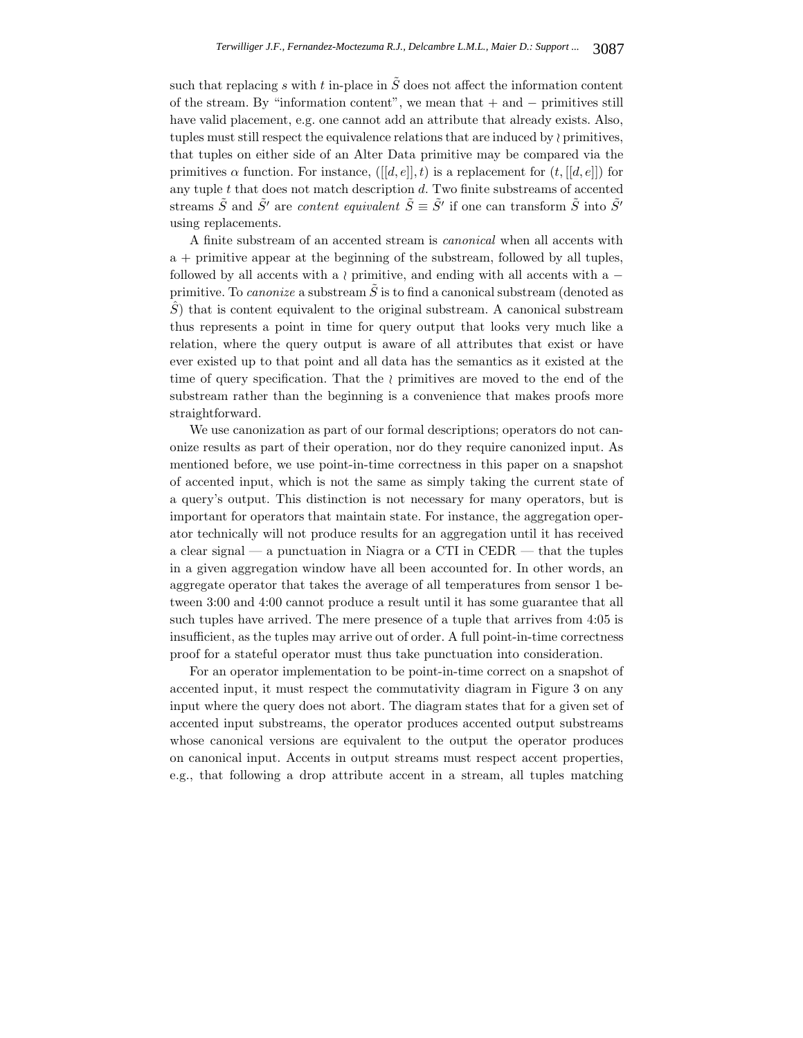such that replacing s with t in-place in  $\tilde{S}$  does not affect the information content of the stream. By "information content", we mean that + and − primitives still have valid placement, e.g. one cannot add an attribute that already exists. Also, tuples must still respect the equivalence relations that are induced by  $\wr$  primitives, that tuples on either side of an Alter Data primitive may be compared via the primitives  $\alpha$  function. For instance,  $([[d, e]], t)$  is a replacement for  $(t, [[d, e]])$  for any tuple  $t$  that does not match description  $d$ . Two finite substreams of accented streams  $\tilde{S}$  and  $\tilde{S}'$  are *content equivalent*  $\tilde{S} \equiv \tilde{S}'$  if one can transform  $\tilde{S}$  into  $\tilde{S}'$ using replacements.

A finite substream of an accented stream is *canonical* when all accents with a + primitive appear at the beginning of the substream, followed by all tuples, followed by all accents with a  $\wr$  primitive, and ending with all accents with a  $$ primitive. To *canonize* a substream  $\tilde{S}$  is to find a canonical substream (denoted as  $\hat{S}$ ) that is content equivalent to the original substream. A canonical substream thus represents a point in time for query output that looks very much like a relation, where the query output is aware of all attributes that exist or have ever existed up to that point and all data has the semantics as it existed at the time of query specification. That the  $\wr$  primitives are moved to the end of the substream rather than the beginning is a convenience that makes proofs more straightforward.

We use canonization as part of our formal descriptions; operators do not canonize results as part of their operation, nor do they require canonized input. As mentioned before, we use point-in-time correctness in this paper on a snapshot of accented input, which is not the same as simply taking the current state of a query's output. This distinction is not necessary for many operators, but is important for operators that maintain state. For instance, the aggregation operator technically will not produce results for an aggregation until it has received a clear signal — a punctuation in Niagra or a CTI in CEDR — that the tuples in a given aggregation window have all been accounted for. In other words, an aggregate operator that takes the average of all temperatures from sensor 1 between 3:00 and 4:00 cannot produce a result until it has some guarantee that all such tuples have arrived. The mere presence of a tuple that arrives from 4:05 is insufficient, as the tuples may arrive out of order. A full point-in-time correctness proof for a stateful operator must thus take punctuation into consideration.

For an operator implementation to be point-in-time correct on a snapshot of accented input, it must respect the commutativity diagram in Figure 3 on any input where the query does not abort. The diagram states that for a given set of accented input substreams, the operator produces accented output substreams whose canonical versions are equivalent to the output the operator produces on canonical input. Accents in output streams must respect accent properties, e.g., that following a drop attribute accent in a stream, all tuples matching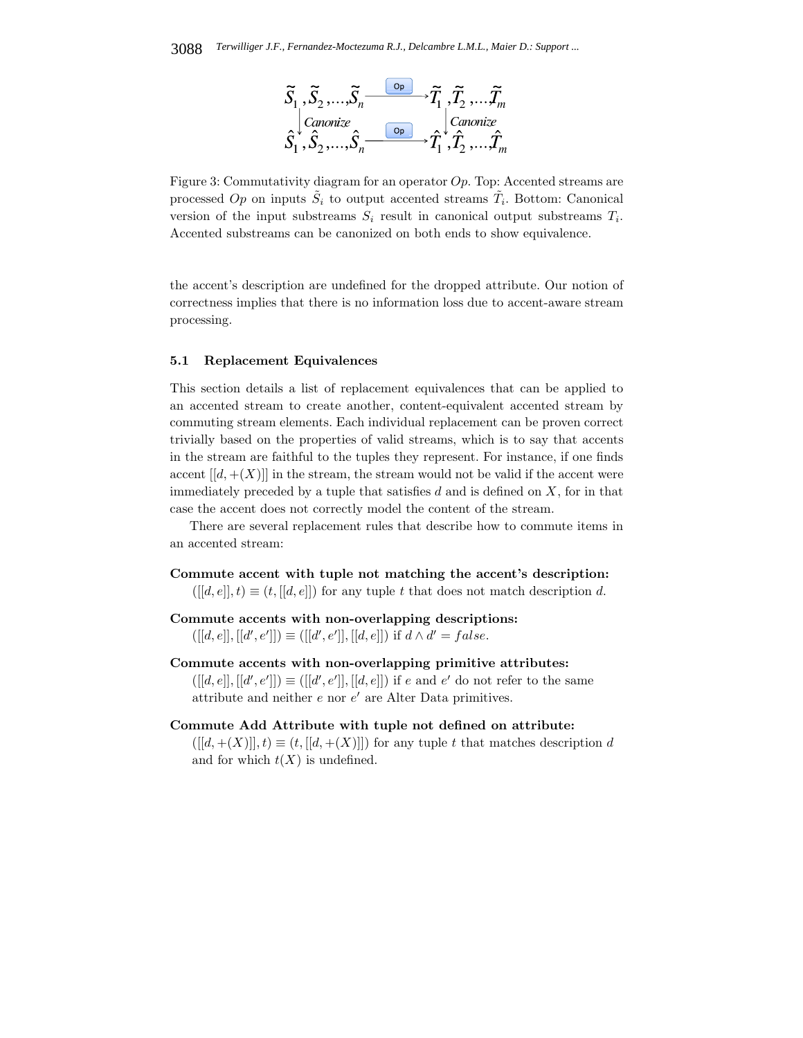

Figure 3: Commutativity diagram for an operator  $Op$ . Top: Accented streams are processed Op on inputs  $\tilde{S}_i$  to output accented streams  $\tilde{T}_i$ . Bottom: Canonical version of the input substreams  $S_i$  result in canonical output substreams  $T_i$ . Accented substreams can be canonized on both ends to show equivalence.

the accent's description are undefined for the dropped attribute. Our notion of correctness implies that there is no information loss due to accent-aware stream processing.

## **5.1 Replacement Equivalences**

This section details a list of replacement equivalences that can be applied to an accented stream to create another, content-equivalent accented stream by commuting stream elements. Each individual replacement can be proven correct trivially based on the properties of valid streams, which is to say that accents in the stream are faithful to the tuples they represent. For instance, if one finds accent  $[[d,+(X)]]$  in the stream, the stream would not be valid if the accent were immediately preceded by a tuple that satisfies  $d$  and is defined on  $X$ , for in that case the accent does not correctly model the content of the stream.

There are several replacement rules that describe how to commute items in an accented stream:

**Commute accent with tuple not matching the accent's description:**  $([[d, e]], t) \equiv (t, [[d, e]])$  for any tuple t that does not match description d.

**Commute accents with non-overlapping descriptions:**  $([[d, e]], [[d', e']]) \equiv([[d', e']], [[d, e]]) \text{ if } d \wedge d' = false.$ 

#### **Commute accents with non-overlapping primitive attributes:**

 $([[d, e]], [[d', e']]) \equiv [[[d', e']], [[d, e]])$  if e and e' do not refer to the same attribute and neither  $e$  nor  $e'$  are Alter Data primitives.

#### **Commute Add Attribute with tuple not defined on attribute:**

 $([[d, +(X)]], t) \equiv (t, [[d, +(X)]])$  for any tuple t that matches description d and for which  $t(X)$  is undefined.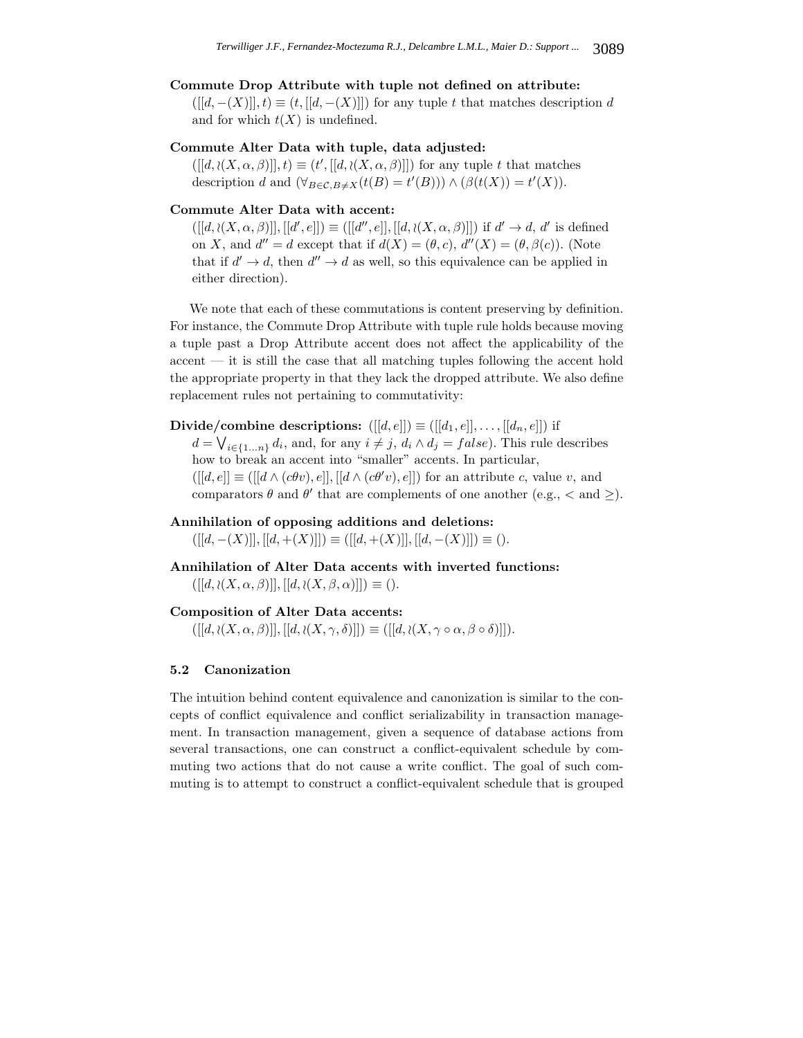## **Commute Drop Attribute with tuple not defined on attribute:**

 $([[d, -(X)]], t) \equiv (t, [[d, -(X)]])$  for any tuple t that matches description d and for which  $t(X)$  is undefined.

#### **Commute Alter Data with tuple, data adjusted:**

 $([[d, \iota(X, \alpha, \beta)]], t) \equiv (t', [[d, \iota(X, \alpha, \beta)]])$  for any tuple t that matches description d and  $(\forall_{B \in \mathcal{C}, B \neq X} (t(B) = t'(B))) \wedge (\beta(t(X)) = t'(X)).$ 

#### **Commute Alter Data with accent:**

 $([[d, \lambda(X, \alpha, \beta)]], [[d', e]]) \equiv([[d'', e]], [[d, \lambda(X, \alpha, \beta)]])$  if  $d' \rightarrow d, d'$  is defined on X, and  $d'' = d$  except that if  $d(X) = (\theta, c), d''(X) = (\theta, \beta(c))$ . (Note that if  $d' \to d$ , then  $d'' \to d$  as well, so this equivalence can be applied in either direction).

We note that each of these commutations is content preserving by definition. For instance, the Commute Drop Attribute with tuple rule holds because moving a tuple past a Drop Attribute accent does not affect the applicability of the  $\alpha$  accent  $\alpha$  it is still the case that all matching tuples following the accent hold the appropriate property in that they lack the dropped attribute. We also define replacement rules not pertaining to commutativity:

**Divide/combine descriptions:**  $([[d, e]]) \equiv([[d_1, e]], \ldots, [[d_n, e]])$  if

 $d = \bigvee_{i \in \{1...n\}} d_i$ , and, for any  $i \neq j$ ,  $d_i \wedge d_j = false$ ). This rule describes how to break an accent into "smaller" accents. In particular,  $([[d, e]] \equiv([[d \wedge (c\theta v), e]], [[d \wedge (c\theta' v), e]])$  for an attribute c, value v, and comparators  $\theta$  and  $\theta'$  that are complements of one another (e.g.,  $\lt$  and  $\geq$ ).

#### **Annihilation of opposing additions and deletions:**

 $([[d, -(X)]], [[d, +(X)]]) \equiv([[d, +(X)]], [[d, -(X)]]) \equiv ().$ 

**Annihilation of Alter Data accents with inverted functions:**  $([[d, \lambda(X, \alpha, \beta)]], [[d, \lambda(X, \beta, \alpha)]]) \equiv ().$ 

## **Composition of Alter Data accents:**

 $([[d, \iota(X, \alpha, \beta)]], [[d, \iota(X, \gamma, \delta)]]) \equiv ([[d, \iota(X, \gamma \circ \alpha, \beta \circ \delta)]]).$ 

## **5.2 Canonization**

The intuition behind content equivalence and canonization is similar to the concepts of conflict equivalence and conflict serializability in transaction management. In transaction management, given a sequence of database actions from several transactions, one can construct a conflict-equivalent schedule by commuting two actions that do not cause a write conflict. The goal of such commuting is to attempt to construct a conflict-equivalent schedule that is grouped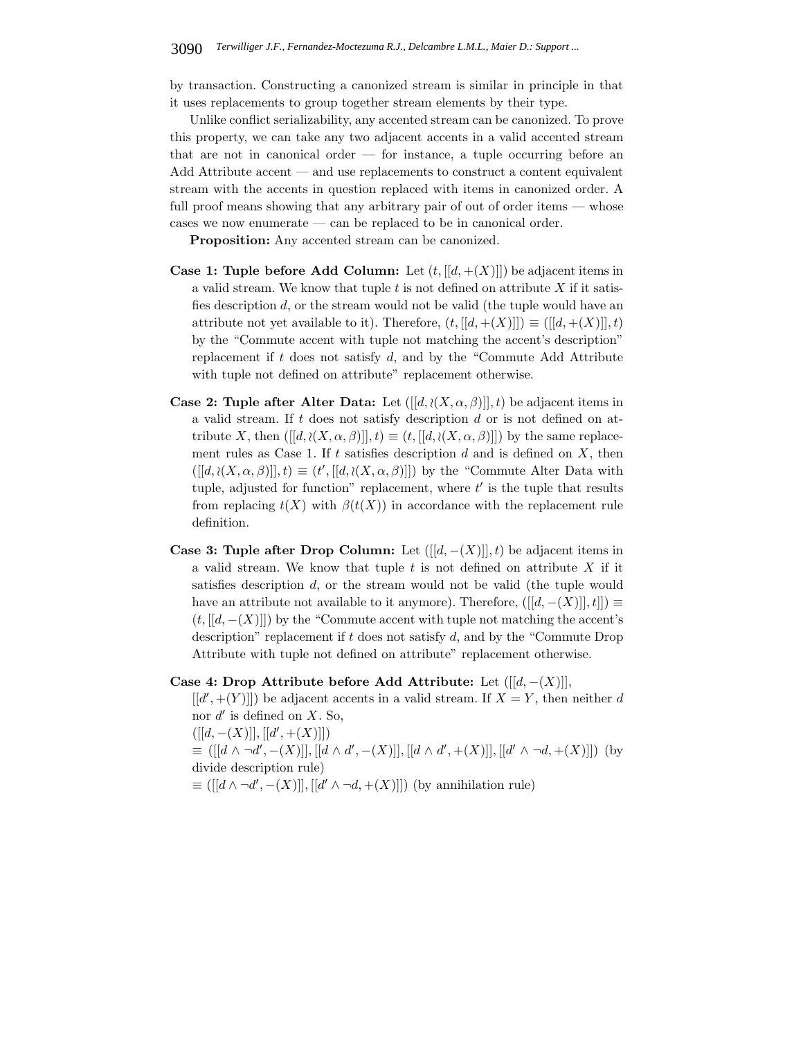by transaction. Constructing a canonized stream is similar in principle in that it uses replacements to group together stream elements by their type.

Unlike conflict serializability, any accented stream can be canonized. To prove this property, we can take any two adjacent accents in a valid accented stream that are not in canonical order  $-$  for instance, a tuple occurring before an Add Attribute accent — and use replacements to construct a content equivalent stream with the accents in question replaced with items in canonized order. A full proof means showing that any arbitrary pair of out of order items — whose cases we now enumerate — can be replaced to be in canonical order.

**Proposition:** Any accented stream can be canonized.

- **Case 1: Tuple before Add Column:** Let  $(t, [[d, +(X)]])$  be adjacent items in a valid stream. We know that tuple  $t$  is not defined on attribute  $X$  if it satisfies description d, or the stream would not be valid (the tuple would have an attribute not yet available to it). Therefore,  $(t, [[d, +(X)]]) \equiv ([[d, +(X)]], t)$ by the "Commute accent with tuple not matching the accent's description" replacement if  $t$  does not satisfy  $d$ , and by the "Commute Add Attribute with tuple not defined on attribute" replacement otherwise.
- **Case 2: Tuple after Alter Data:** Let  $([[d, (X, \alpha, \beta)]]$ , t) be adjacent items in a valid stream. If t does not satisfy description  $d$  or is not defined on attribute X, then  $([[d, \lambda(X, \alpha, \beta)]], t) \equiv (t, [[d, \lambda(X, \alpha, \beta)]])$  by the same replacement rules as Case 1. If  $t$  satisfies description  $d$  and is defined on  $X$ , then  $([[d, \iota(X, \alpha, \beta)]], t) \equiv (t', [[d, \iota(X, \alpha, \beta)]])$  by the "Commute Alter Data with tuple, adjusted for function" replacement, where  $t'$  is the tuple that results from replacing  $t(X)$  with  $\beta(t(X))$  in accordance with the replacement rule definition.
- **Case 3: Tuple after Drop Column:** Let  $([[d, -(X)]]$ , t) be adjacent items in a valid stream. We know that tuple  $t$  is not defined on attribute  $X$  if it satisfies description d, or the stream would not be valid (the tuple would have an attribute not available to it anymore). Therefore,  $([[d, -(X)]]$ ,  $t]] \equiv$  $(t, [[d, -(X)]])$  by the "Commute accent with tuple not matching the accent's description" replacement if t does not satisfy d, and by the "Commute Drop Attribute with tuple not defined on attribute" replacement otherwise.

## **Case 4: Drop Attribute before Add Attribute:** Let ([[d, −(X)]],

 $[[d',+(Y)]]$  be adjacent accents in a valid stream. If  $X=Y$ , then neither d nor  $d'$  is defined on X. So,

 $([[d, -(X)]], [[d', +(X)]])$  $\equiv([[d \wedge \neg d', -(X)]], [[d \wedge d', -(X)]], [[d \wedge d', +(X)]], [[d' \wedge \neg d, +(X)]])$  (by divide description rule)  $\equiv([[d \wedge \neg d', -(X)]], [[d' \wedge \neg d, +(X)]])$  (by annihilation rule)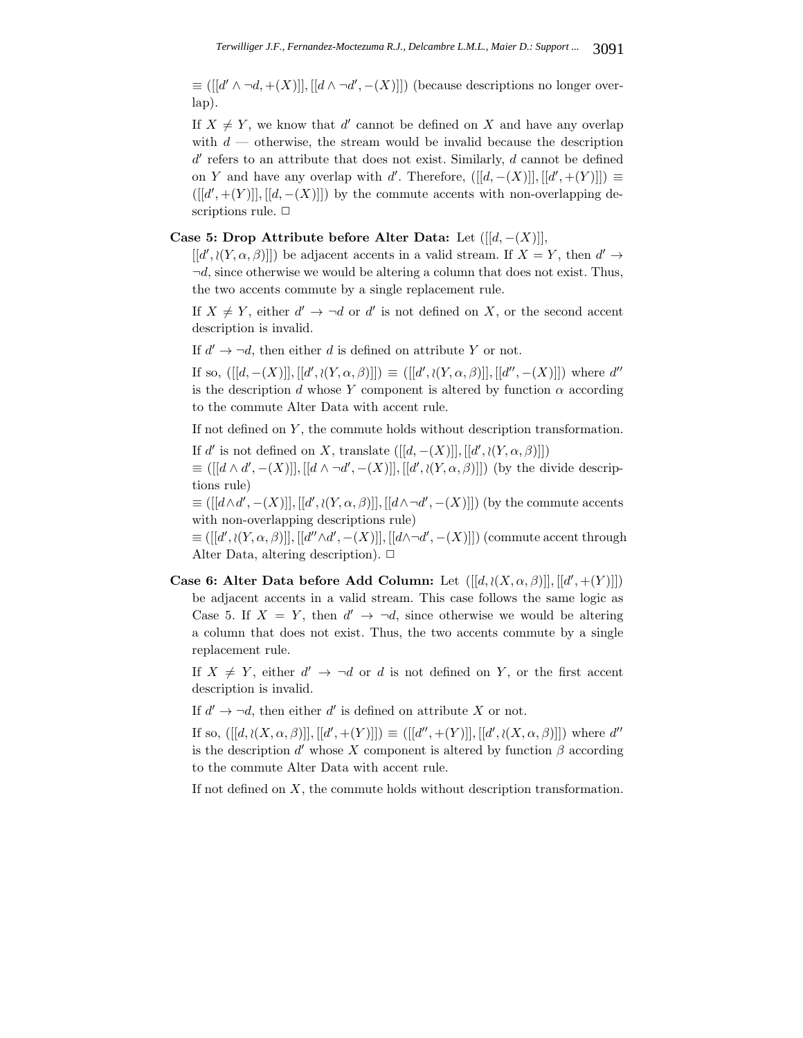$\equiv([[d' \wedge \neg d, +(X)]], [[d \wedge \neg d', -(X)]])$  (because descriptions no longer overlap).

If  $X \neq Y$ , we know that d' cannot be defined on X and have any overlap with  $d$  — otherwise, the stream would be invalid because the description  $d'$  refers to an attribute that does not exist. Similarly,  $d$  cannot be defined on Y and have any overlap with d'. Therefore,  $([[d, -(X)]], [[d', +(Y)]]) \equiv$  $([[d',+(Y)]],[[d,-(X)]])$  by the commute accents with non-overlapping descriptions rule.  $\Box$ 

## **Case 5: Drop Attribute before Alter Data:** Let  $([[d, -(X)]],$

 $[[d', \iota(Y, \alpha, \beta)]]$  be adjacent accents in a valid stream. If  $X = Y$ , then  $d' \to$  $\neg d$ , since otherwise we would be altering a column that does not exist. Thus, the two accents commute by a single replacement rule.

If  $X \neq Y$ , either  $d' \to \neg d$  or d' is not defined on X, or the second accent description is invalid.

If  $d' \to \neg d$ , then either d is defined on attribute Y or not.

If so,  $([[d, -(X)]], [[d', \iota(Y, \alpha, \beta)]]) \equiv ([[d', \iota(Y, \alpha, \beta)]], [[d'', -(X)]])$  where d'' is the description d whose Y component is altered by function  $\alpha$  according to the commute Alter Data with accent rule.

If not defined on Y , the commute holds without description transformation.

If d' is not defined on X, translate  $([[d, -(X)]], [[d', \iota(Y, \alpha, \beta)]])$  $\equiv([[d \wedge d', -(X)]], [[d \wedge \neg d', -(X)]], [[d', \wr (Y, \alpha, \beta)]])$  (by the divide descriptions rule)

 $\equiv ([[d\wedge d', -(X)]], [[d', \wr (Y, \alpha, \beta)]], [[d\wedge \neg d', -(X)]])$  (by the commute accents with non-overlapping descriptions rule)

 $\equiv([[d', \lambda(Y, \alpha, \beta)]], [[d'' \wedge d', -(X)]], [[d \wedge \neg d', -(X)]])$  (commute accent through Alter Data, altering description).  $\Box$ 

**Case 6: Alter Data before Add Column:** Let  $([[d, \iota(X, \alpha, \beta)]], [[d', \iota(Y)]])$ be adjacent accents in a valid stream. This case follows the same logic as Case 5. If  $X = Y$ , then  $d' \rightarrow \neg d$ , since otherwise we would be altering a column that does not exist. Thus, the two accents commute by a single replacement rule.

If  $X \neq Y$ , either  $d' \to \neg d$  or d is not defined on Y, or the first accent description is invalid.

If  $d' \to \neg d$ , then either d' is defined on attribute X or not.

If so,  $([[d, \iota(X, \alpha, \beta)]], [[d', \iota(Y)]]) \equiv ([[d'', \iota(Y)]], [[d', \iota(X, \alpha, \beta)]])$  where d'' is the description  $d'$  whose X component is altered by function  $\beta$  according to the commute Alter Data with accent rule.

If not defined on  $X$ , the commute holds without description transformation.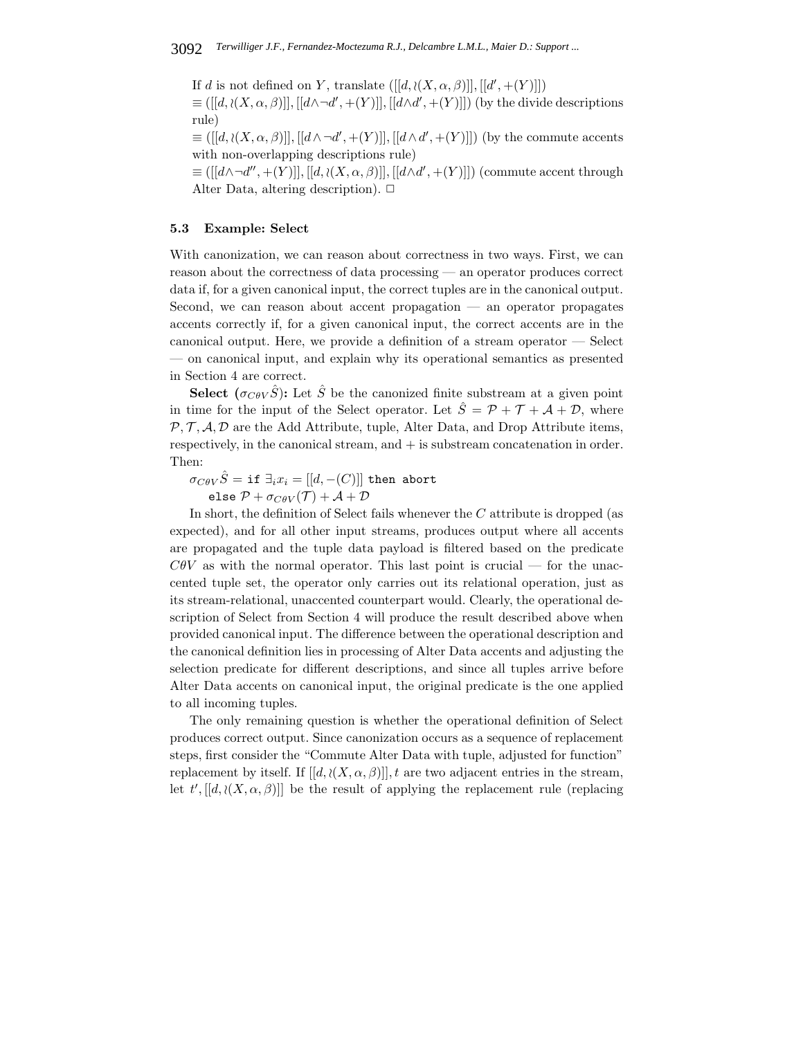If d is not defined on Y, translate  $([[d, \lambda(X, \alpha, \beta)]], [[d', + (Y)]])$ 

 $\equiv([[d, \partial(X, \alpha, \beta)]], [[d \wedge \neg d', +(Y)]], [[d \wedge d', +(Y)]])$  (by the divide descriptions rule)

 $\equiv([[d, \lambda(X, \alpha, \beta)]], [[d \wedge \neg d', +(Y)]], [[d \wedge d', +(Y)]])$  (by the commute accents with non-overlapping descriptions rule)

 $\equiv ([[d \wedge \neg d'', + (Y)]], [[d, \lambda(X, \alpha, \beta)]], [[d \wedge d', + (Y)]])$  (commute accent through Alter Data, altering description).  $\Box$ 

## **5.3 Example: Select**

With canonization, we can reason about correctness in two ways. First, we can reason about the correctness of data processing — an operator produces correct data if, for a given canonical input, the correct tuples are in the canonical output. Second, we can reason about accent propagation — an operator propagates accents correctly if, for a given canonical input, the correct accents are in the canonical output. Here, we provide a definition of a stream operator — Select — on canonical input, and explain why its operational semantics as presented in Section 4 are correct.

**Select**  $(\sigma_{\mathcal{C}\theta\mathcal{V}}\hat{S})$ : Let  $\hat{S}$  be the canonized finite substream at a given point in time for the input of the Select operator. Let  $\hat{S} = \mathcal{P} + \mathcal{T} + \mathcal{A} + \mathcal{D}$ , where  $\mathcal{P}, \mathcal{T}, \mathcal{A}, \mathcal{D}$  are the Add Attribute, tuple, Alter Data, and Drop Attribute items, respectively, in the canonical stream, and + is substream concatenation in order. Then:

 $\sigma_{C\theta V}\hat{S} = \texttt{if } \exists_i x_i = [[d, -(C)]]$  then abort else  $\mathcal{P} + \sigma_{\mathit{CBV}}(\mathcal{T}) + \mathcal{A} + \mathcal{D}$ 

In short, the definition of Select fails whenever the  $C$  attribute is dropped (as expected), and for all other input streams, produces output where all accents are propagated and the tuple data payload is filtered based on the predicate  $C\theta V$  as with the normal operator. This last point is crucial — for the unaccented tuple set, the operator only carries out its relational operation, just as its stream-relational, unaccented counterpart would. Clearly, the operational description of Select from Section 4 will produce the result described above when provided canonical input. The difference between the operational description and the canonical definition lies in processing of Alter Data accents and adjusting the selection predicate for different descriptions, and since all tuples arrive before Alter Data accents on canonical input, the original predicate is the one applied to all incoming tuples.

The only remaining question is whether the operational definition of Select produces correct output. Since canonization occurs as a sequence of replacement steps, first consider the "Commute Alter Data with tuple, adjusted for function" replacement by itself. If  $[[d, \langle (X, \alpha, \beta)]]$ , t are two adjacent entries in the stream, let  $t'$ ,  $[[d, \lambda(X, \alpha, \beta)]]$  be the result of applying the replacement rule (replacing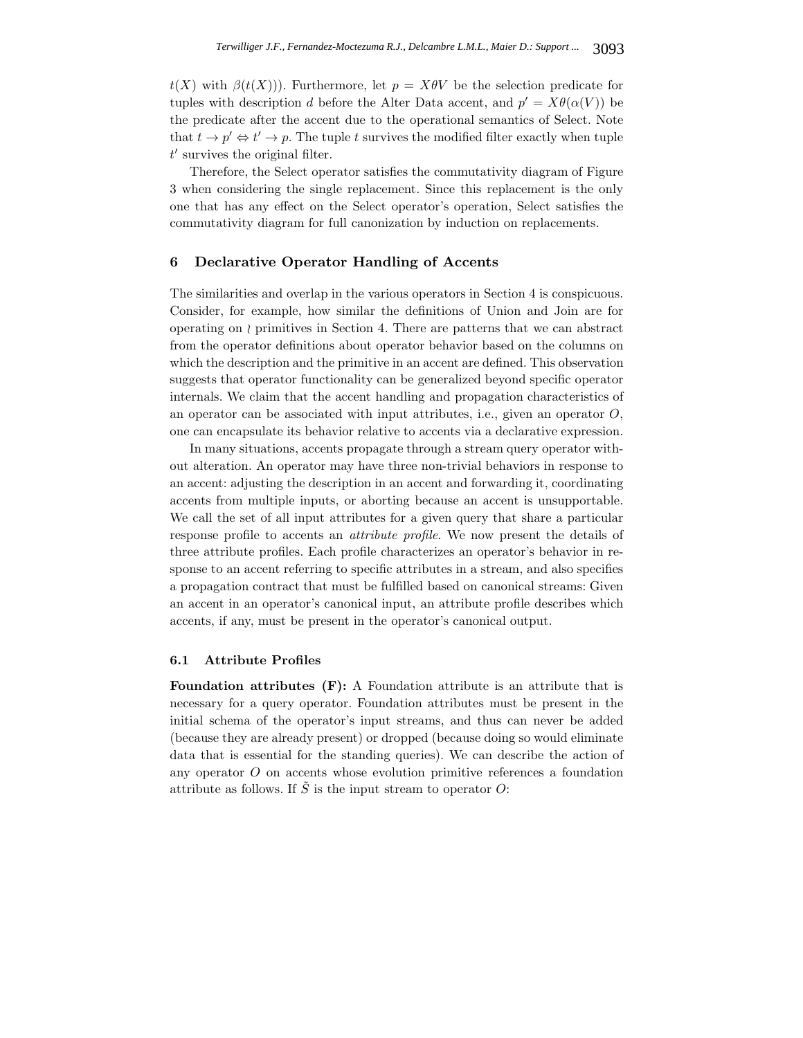$t(X)$  with  $\beta(t(X))$ ). Furthermore, let  $p = X\theta V$  be the selection predicate for tuples with description d before the Alter Data accent, and  $p' = X\theta(\alpha(V))$  be the predicate after the accent due to the operational semantics of Select. Note that  $t \to p' \Leftrightarrow t' \to p$ . The tuple t survives the modified filter exactly when tuple  $t'$  survives the original filter.

Therefore, the Select operator satisfies the commutativity diagram of Figure 3 when considering the single replacement. Since this replacement is the only one that has any effect on the Select operator's operation, Select satisfies the commutativity diagram for full canonization by induction on replacements.

#### **6 Declarative Operator Handling of Accents**

The similarities and overlap in the various operators in Section 4 is conspicuous. Consider, for example, how similar the definitions of Union and Join are for operating on  $\wr$  primitives in Section 4. There are patterns that we can abstract from the operator definitions about operator behavior based on the columns on which the description and the primitive in an accent are defined. This observation suggests that operator functionality can be generalized beyond specific operator internals. We claim that the accent handling and propagation characteristics of an operator can be associated with input attributes, i.e., given an operator  $O$ , one can encapsulate its behavior relative to accents via a declarative expression.

In many situations, accents propagate through a stream query operator without alteration. An operator may have three non-trivial behaviors in response to an accent: adjusting the description in an accent and forwarding it, coordinating accents from multiple inputs, or aborting because an accent is unsupportable. We call the set of all input attributes for a given query that share a particular response profile to accents an *attribute profile*. We now present the details of three attribute profiles. Each profile characterizes an operator's behavior in response to an accent referring to specific attributes in a stream, and also specifies a propagation contract that must be fulfilled based on canonical streams: Given an accent in an operator's canonical input, an attribute profile describes which accents, if any, must be present in the operator's canonical output.

#### **6.1 Attribute Profiles**

**Foundation attributes (F):** A Foundation attribute is an attribute that is necessary for a query operator. Foundation attributes must be present in the initial schema of the operator's input streams, and thus can never be added (because they are already present) or dropped (because doing so would eliminate data that is essential for the standing queries). We can describe the action of any operator O on accents whose evolution primitive references a foundation attribute as follows. If  $\tilde{S}$  is the input stream to operator O: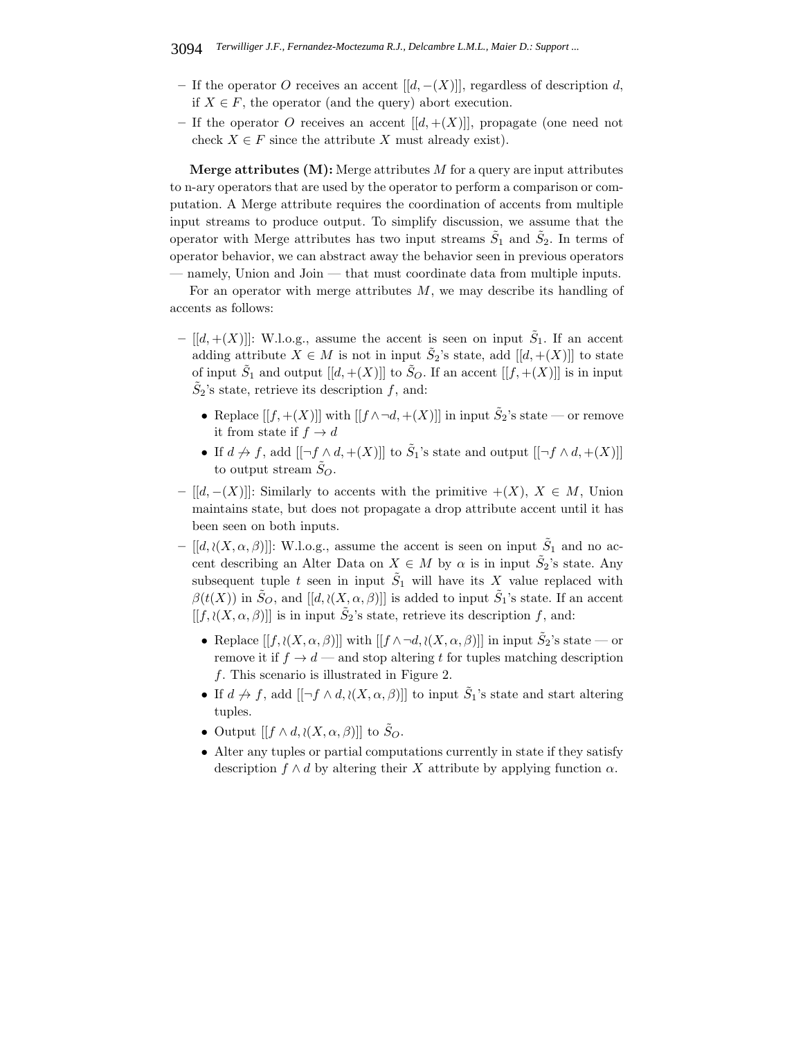- **–** If the operator O receives an accent [[d, −(X)]], regardless of description d, if  $X \in F$ , the operator (and the query) abort execution.
- If the operator O receives an accent  $[[d, +(X)]]$ , propagate (one need not check  $X \in F$  since the attribute X must already exist).

**Merge attributes (M):** Merge attributes M for a query are input attributes to n-ary operators that are used by the operator to perform a comparison or computation. A Merge attribute requires the coordination of accents from multiple input streams to produce output. To simplify discussion, we assume that the operator with Merge attributes has two input streams  $\tilde{S}_1$  and  $\tilde{S}_2$ . In terms of operator behavior, we can abstract away the behavior seen in previous operators — namely, Union and Join — that must coordinate data from multiple inputs.

For an operator with merge attributes  $M$ , we may describe its handling of accents as follows:

- $-$  [[d, +(X)]]: W.l.o.g., assume the accent is seen on input  $\tilde{S}_1$ . If an accent adding attribute  $X \in M$  is not in input  $\tilde{S}_2$ 's state, add  $[[d, +(X)]]$  to state of input  $\tilde{S}_1$  and output  $[[d, +(X)]]$  to  $\tilde{S}_O$ . If an accent  $[[f, +(X)]]$  is in input  $\tilde{S}_2$ 's state, retrieve its description f, and:
	- Replace  $[[f,+(X)]]$  with  $[[f \wedge \neg d,+(X)]]$  in input  $\tilde{S}_2$ 's state or remove it from state if  $f \to d$
	- If  $d \nrightarrow f$ , add  $[[\neg f \wedge d, \neg (X)]]$  to  $\tilde{S}_1$ 's state and output  $[[\neg f \wedge d, \neg (X)]]$ to output stream  $\tilde{S}_O$ .
- **–** [[d, −(X)]]: Similarly to accents with the primitive +(X), X ∈ M, Union maintains state, but does not propagate a drop attribute accent until it has been seen on both inputs.
- $-$  [[d,  $\{(X, \alpha, \beta)$ ]]: W.l.o.g., assume the accent is seen on input  $\tilde{S}_1$  and no accent describing an Alter Data on  $X \in M$  by  $\alpha$  is in input  $\tilde{S}_2$ 's state. Any subsequent tuple t seen in input  $\tilde{S}_1$  will have its X value replaced with  $\beta(t(X))$  in  $\tilde{S}_O$ , and  $[[d, \partial(X, \alpha, \beta)]]$  is added to input  $\tilde{S}_1$ 's state. If an accent  $[[f, \iota(X, \alpha, \beta)]]$  is in input  $\tilde{S}_2$ 's state, retrieve its description f, and:
	- Replace  $[[f, \lambda(X, \alpha, \beta)]]$  with  $[[f \wedge \neg d, \lambda(X, \alpha, \beta)]]$  in input  $S_2$ 's state or remove it if  $f \rightarrow d$  — and stop altering t for tuples matching description f. This scenario is illustrated in Figure 2.
	- If  $d \nrightarrow f$ , add  $[[\neg f \wedge d, \lambda(X, \alpha, \beta)]]$  to input  $\tilde{S}_1$ 's state and start altering tuples.
	- Output  $[[f \wedge d, \lambda(X, \alpha, \beta)]]$  to  $\tilde{S}_O$ .
	- Alter any tuples or partial computations currently in state if they satisfy description  $f \wedge d$  by altering their X attribute by applying function  $\alpha$ .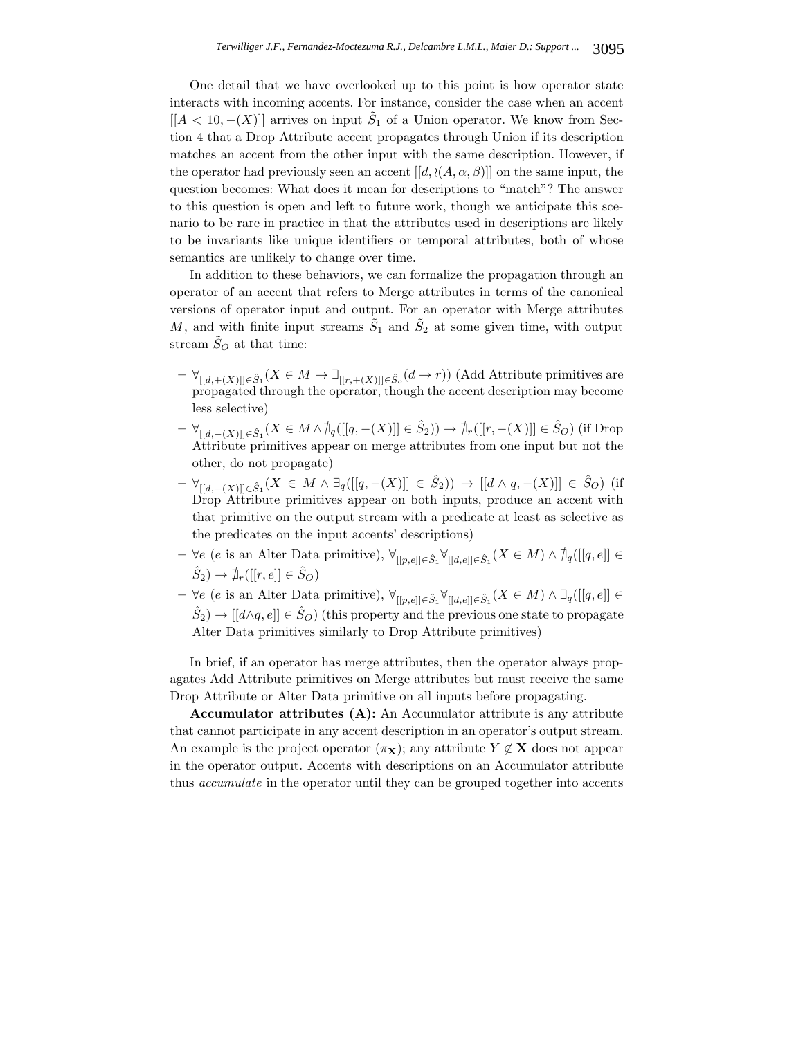One detail that we have overlooked up to this point is how operator state interacts with incoming accents. For instance, consider the case when an accent  $[[A < 10, -(X)]]$  arrives on input  $S_1$  of a Union operator. We know from Section 4 that a Drop Attribute accent propagates through Union if its description matches an accent from the other input with the same description. However, if the operator had previously seen an accent  $[[d, \langle (A, \alpha, \beta)]]$  on the same input, the question becomes: What does it mean for descriptions to "match"? The answer to this question is open and left to future work, though we anticipate this scenario to be rare in practice in that the attributes used in descriptions are likely to be invariants like unique identifiers or temporal attributes, both of whose semantics are unlikely to change over time.

In addition to these behaviors, we can formalize the propagation through an operator of an accent that refers to Merge attributes in terms of the canonical versions of operator input and output. For an operator with Merge attributes M, and with finite input streams  $\tilde{S}_1$  and  $\tilde{S}_2$  at some given time, with output stream  $S_O$  at that time:

- **–** ∀[[d,+(X)]]∈Sˆ1(X ∈ M → ∃[[r,+(X)]]∈Sˆ*<sup>o</sup>* (d → r)) (Add Attribute primitives are propagated through the operator, though the accent description may become less selective)
- $\forall_{[[d, -(X)]] \in \hat{S}_1} (X \in M \land \nexists_q([[q, -(X)]] \in \hat{S}_2)) \rightarrow \nexists_r([[r, -(X)]] \in \hat{S}_O)$  (if Drop Attribute primitives appear on merge attributes from one input but not the other, do not propagate)
- $\forall_{[[d, -(X)]] \in \hat{S}_1} (X \in M \land \exists_q([[q, -(X)]] \in \hat{S}_2)) \rightarrow [[d \land q, -(X)]] \in \hat{S}_O$ ) (if Drop Attribute primitives appear on both inputs, produce an accent with that primitive on the output stream with a predicate at least as selective as the predicates on the input accents' descriptions)
- **–** ∀e (e is an Alter Data primitive),  $\forall_{[[p,e]]\in \hat{S}_1} \forall_{[[d,e]]\in \hat{S}_1} (X \in M) \land \nexists_{q}([[q,e]] \in \mathbb{R}$  $(\hat{S}_2) \rightarrow \hat{\mathbb{H}}_r([[r,e]] \in \hat{S}_O$
- **–**  $\forall e \ (e \text{ is an Alter Data primitive}), \forall_{[[p,e]] \in \hat{S}_1} \forall_{[[d,e]] \in \hat{S}_1} (X \in M) \land \exists_{q}([[q,e]] \in \hat{S}_1$  $\hat{S}_2$ )  $\rightarrow$  [[d $\land$ q, e]]  $\in \hat{S}_O$ ) (this property and the previous one state to propagate Alter Data primitives similarly to Drop Attribute primitives)

In brief, if an operator has merge attributes, then the operator always propagates Add Attribute primitives on Merge attributes but must receive the same Drop Attribute or Alter Data primitive on all inputs before propagating.

**Accumulator attributes (A):** An Accumulator attribute is any attribute that cannot participate in any accent description in an operator's output stream. An example is the project operator  $(\pi_{\mathbf{X}})$ ; any attribute  $Y \notin \mathbf{X}$  does not appear in the operator output. Accents with descriptions on an Accumulator attribute thus *accumulate* in the operator until they can be grouped together into accents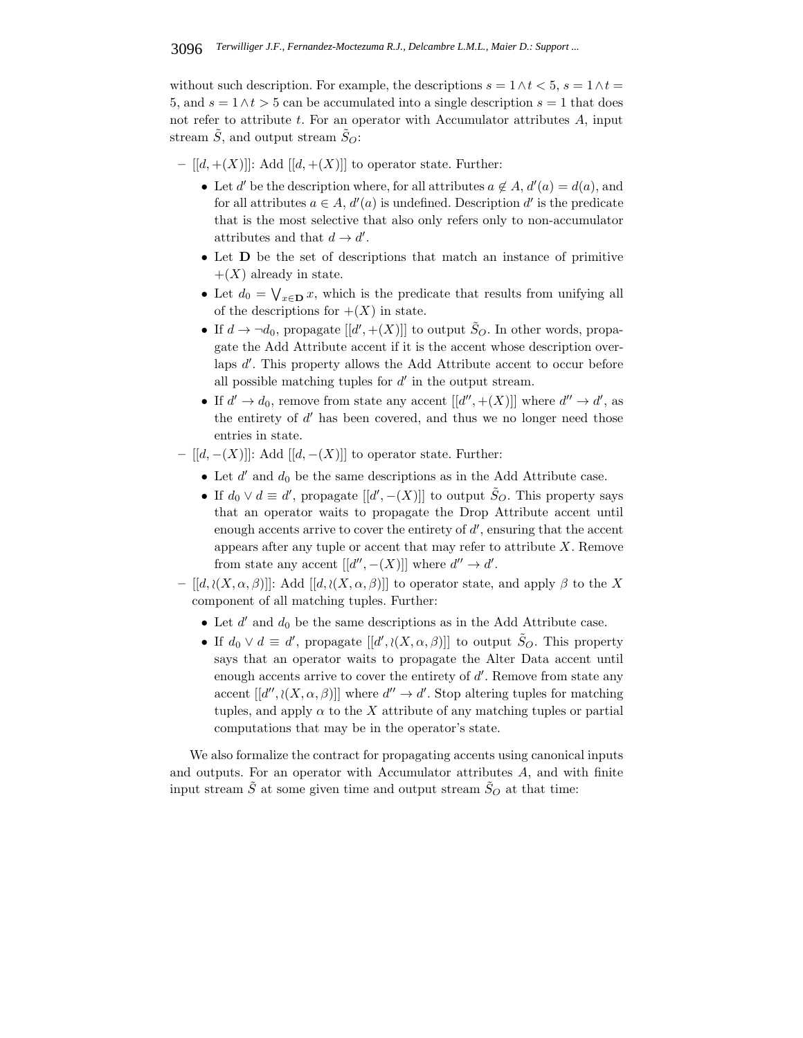without such description. For example, the descriptions  $s = 1 \wedge t < 5$ ,  $s = 1 \wedge t =$ 5, and  $s = 1 \wedge t > 5$  can be accumulated into a single description  $s = 1$  that does not refer to attribute  $t$ . For an operator with Accumulator attributes  $A$ , input stream  $\tilde{S}$ , and output stream  $\tilde{S}_O$ :

 $[[d, +(X)]]$ : Add  $[[d, +(X)]]$  to operator state. Further:

- Let d' be the description where, for all attributes  $a \notin A$ ,  $d'(a) = d(a)$ , and for all attributes  $a \in A$ ,  $d'(a)$  is undefined. Description  $d'$  is the predicate that is the most selective that also only refers only to non-accumulator attributes and that  $d \to d'$ .
- Let **D** be the set of descriptions that match an instance of primitive  $+(X)$  already in state.
- Let  $d_0 = \bigvee_{x \in \mathbf{D}} x$ , which is the predicate that results from unifying all of the descriptions for  $+(X)$  in state.
- If  $d \to \neg d_0$ , propagate  $[[d',+(X)]]$  to output  $\tilde{S}_O$ . In other words, propagate the Add Attribute accent if it is the accent whose description overlaps d'. This property allows the Add Attribute accent to occur before all possible matching tuples for  $d'$  in the output stream.
- If  $d' \to d_0$ , remove from state any accent  $[[d'',+(X)]]$  where  $d'' \to d'$ , as the entirety of  $d'$  has been covered, and thus we no longer need those entries in state.
- **–** [[d, −(X)]]: Add [[d, −(X)]] to operator state. Further:
	- Let  $d'$  and  $d_0$  be the same descriptions as in the Add Attribute case.
	- If  $d_0 \vee d \equiv d'$ , propagate  $[[d', -(X)]]$  to output  $\tilde{S}_O$ . This property says that an operator waits to propagate the Drop Attribute accent until enough accents arrive to cover the entirety of  $d'$ , ensuring that the accent appears after any tuple or accent that may refer to attribute  $X$ . Remove from state any accent  $[[d'', -(X)]]$  where  $d'' \to d'$ .
- **–** [[d, (X, α, β)]]: Add [[d, (X, α, β)]] to operator state, and apply β to the X component of all matching tuples. Further:
	- Let  $d'$  and  $d_0$  be the same descriptions as in the Add Attribute case.
	- If  $d_0 \vee d \equiv d'$ , propagate  $[[d', \wr(X, \alpha, \beta)]]$  to output  $\tilde{S}_O$ . This property says that an operator waits to propagate the Alter Data accent until enough accents arrive to cover the entirety of  $d'$ . Remove from state any accent  $[[d'', \langle (X, \alpha, \beta)]]$  where  $d'' \to d'$ . Stop altering tuples for matching tuples, and apply  $\alpha$  to the X attribute of any matching tuples or partial computations that may be in the operator's state.

We also formalize the contract for propagating accents using canonical inputs and outputs. For an operator with Accumulator attributes A, and with finite input stream  $\tilde{S}$  at some given time and output stream  $\tilde{S}_O$  at that time: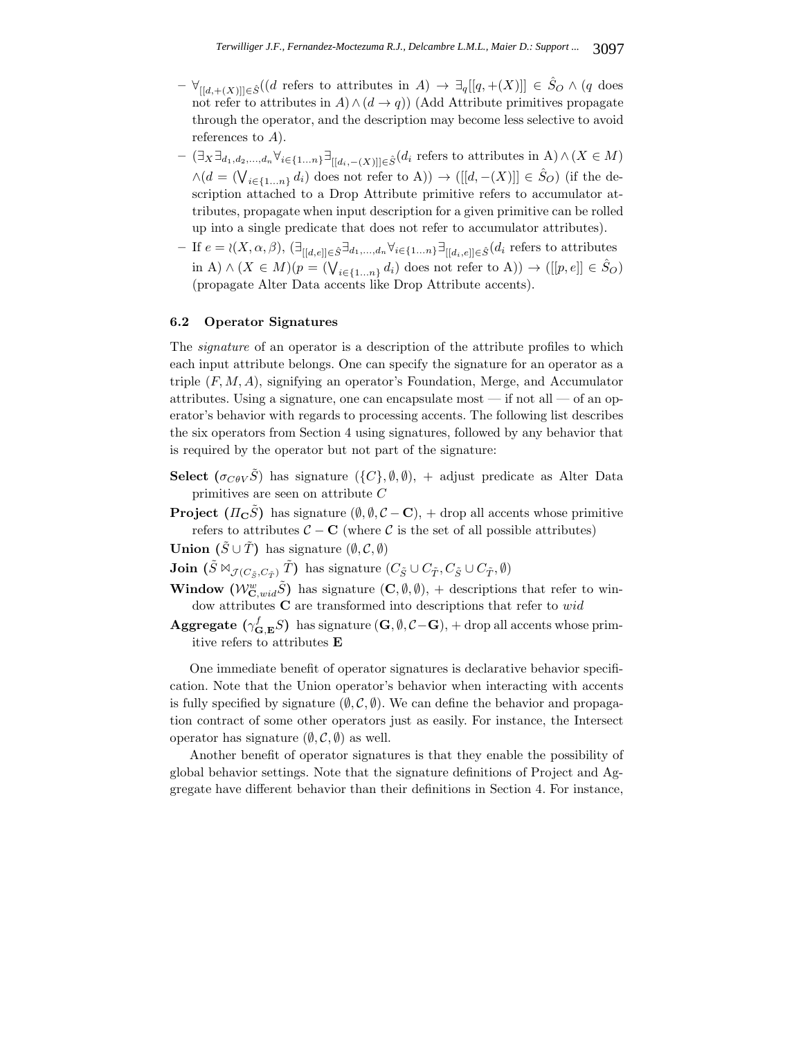- **–**  $\forall$ <sub>[[d,+(X)]]∈ $\hat{S}$ ((d refers to attributes in A)  $\rightarrow \exists$ <sub>q</sub>[[q,+(X)]] ∈  $\hat{S}_O \wedge$  (q does</sub> not refer to attributes in  $A \wedge (d \rightarrow q)$  (Add Attribute primitives propagate through the operator, and the description may become less selective to avoid references to  $A$ ).
- **–** (∃<sup>X</sup> ∃d1,d2,...,d*<sup>n</sup>* ∀i∈{1...n}∃[[d*i*,−(X)]]∈Sˆ(d<sup>i</sup> refers to attributes in A)∧(X ∈ M)  $\wedge (d = (\bigvee_{i \in \{1...n\}} d_i)$  does not refer to A))  $\rightarrow ([[d, -(X)]] \in \hat{S}_O)$  (if the description attached to a Drop Attribute primitive refers to accumulator attributes, propagate when input description for a given primitive can be rolled up into a single predicate that does not refer to accumulator attributes).
- **–** If e = (X, α, β), (∃[[d,e]]∈Sˆ∃d1,...,d*<sup>n</sup>* ∀i∈{1...n}∃[[d*i*,e]]∈Sˆ(d<sup>i</sup> refers to attributes in A)  $\wedge$   $(X \in M)(p = (\bigvee_{i \in \{1...n\}} d_i)$  does not refer to A))  $\rightarrow ([[p, e]] \in \hat{S}_O)$ (propagate Alter Data accents like Drop Attribute accents).

## **6.2 Operator Signatures**

The *signature* of an operator is a description of the attribute profiles to which each input attribute belongs. One can specify the signature for an operator as a triple  $(F, M, A)$ , signifying an operator's Foundation, Merge, and Accumulator attributes. Using a signature, one can encapsulate most — if not all — of an operator's behavior with regards to processing accents. The following list describes the six operators from Section 4 using signatures, followed by any behavior that is required by the operator but not part of the signature:

- **Select**  $(\sigma_{\mathcal{C}\theta\mathcal{V}}\tilde{S})$  has signature  $(\{C\}, \emptyset, \emptyset)$ , + adjust predicate as Alter Data primitives are seen on attribute C
- **Project**  $(\Pi_{\mathbf{C}}\tilde{S})$  has signature  $(\emptyset, \emptyset, \mathcal{C} \mathbf{C})$ , + drop all accents whose primitive refers to attributes  $C - C$  (where C is the set of all possible attributes)

**Union**  $(\tilde{S} \cup \tilde{T})$  has signature  $(\emptyset, \mathcal{C}, \emptyset)$ 

**Join**  $(\tilde{S} \Join_{\mathcal{J}(C_{\tilde{\sigma}},C_{\tilde{\tau}})} \tilde{T})$  has signature  $(C_{\tilde{S}} \cup C_{\tilde{T}}, C_{\tilde{S}} \cup C_{\tilde{T}}, \emptyset)$ 

- **Window**  $(W_{\mathbf{C},wid}^w \tilde{S})$  has signature  $(\mathbf{C}, \emptyset, \emptyset)$ , + descriptions that refer to window attributes **C** are transformed into descriptions that refer to wid
- **Aggregate** ( $\gamma_{\mathbf{G}, \mathbf{E}}^f S$ ) has signature ( $\mathbf{G}, \emptyset, C-\mathbf{G}$ ), + drop all accents whose primitive refers to attributes **E**

One immediate benefit of operator signatures is declarative behavior specification. Note that the Union operator's behavior when interacting with accents is fully specified by signature  $(\emptyset, \mathcal{C}, \emptyset)$ . We can define the behavior and propagation contract of some other operators just as easily. For instance, the Intersect operator has signature  $(\emptyset, \mathcal{C}, \emptyset)$  as well.

Another benefit of operator signatures is that they enable the possibility of global behavior settings. Note that the signature definitions of Project and Aggregate have different behavior than their definitions in Section 4. For instance,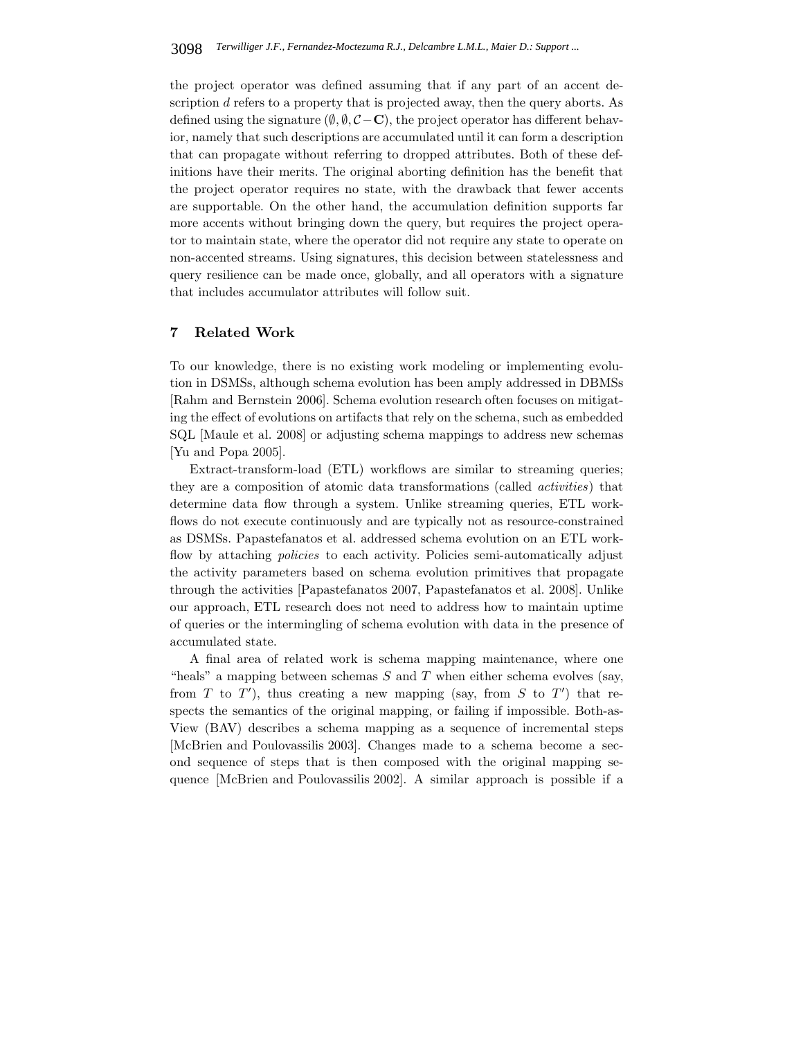the project operator was defined assuming that if any part of an accent description d refers to a property that is projected away, then the query aborts. As defined using the signature  $(\emptyset, \emptyset, C - \mathbf{C})$ , the project operator has different behavior, namely that such descriptions are accumulated until it can form a description that can propagate without referring to dropped attributes. Both of these definitions have their merits. The original aborting definition has the benefit that the project operator requires no state, with the drawback that fewer accents are supportable. On the other hand, the accumulation definition supports far more accents without bringing down the query, but requires the project operator to maintain state, where the operator did not require any state to operate on non-accented streams. Using signatures, this decision between statelessness and query resilience can be made once, globally, and all operators with a signature that includes accumulator attributes will follow suit.

# **7 Related Work**

To our knowledge, there is no existing work modeling or implementing evolution in DSMSs, although schema evolution has been amply addressed in DBMSs [Rahm and Bernstein 2006]. Schema evolution research often focuses on mitigating the effect of evolutions on artifacts that rely on the schema, such as embedded SQL [Maule et al. 2008] or adjusting schema mappings to address new schemas [Yu and Popa 2005].

Extract-transform-load (ETL) workflows are similar to streaming queries; they are a composition of atomic data transformations (called *activities*) that determine data flow through a system. Unlike streaming queries, ETL workflows do not execute continuously and are typically not as resource-constrained as DSMSs. Papastefanatos et al. addressed schema evolution on an ETL workflow by attaching *policies* to each activity. Policies semi-automatically adjust the activity parameters based on schema evolution primitives that propagate through the activities [Papastefanatos 2007, Papastefanatos et al. 2008]. Unlike our approach, ETL research does not need to address how to maintain uptime of queries or the intermingling of schema evolution with data in the presence of accumulated state.

A final area of related work is schema mapping maintenance, where one "heals" a mapping between schemas  $S$  and  $T$  when either schema evolves (say, from T to T'), thus creating a new mapping (say, from S to T') that respects the semantics of the original mapping, or failing if impossible. Both-as-View (BAV) describes a schema mapping as a sequence of incremental steps [McBrien and Poulovassilis 2003]. Changes made to a schema become a second sequence of steps that is then composed with the original mapping sequence [McBrien and Poulovassilis 2002]. A similar approach is possible if a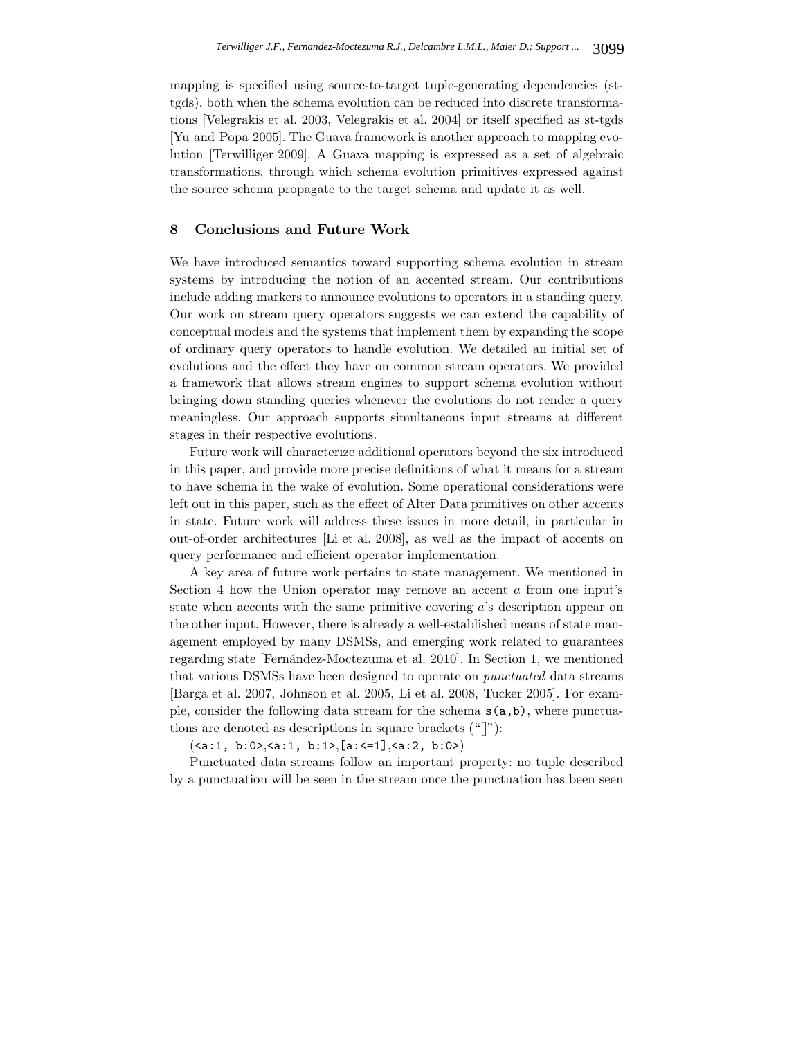mapping is specified using source-to-target tuple-generating dependencies (sttgds), both when the schema evolution can be reduced into discrete transformations [Velegrakis et al. 2003, Velegrakis et al. 2004] or itself specified as st-tgds [Yu and Popa 2005]. The Guava framework is another approach to mapping evolution [Terwilliger 2009]. A Guava mapping is expressed as a set of algebraic transformations, through which schema evolution primitives expressed against the source schema propagate to the target schema and update it as well.

# **8 Conclusions and Future Work**

We have introduced semantics toward supporting schema evolution in stream systems by introducing the notion of an accented stream. Our contributions include adding markers to announce evolutions to operators in a standing query. Our work on stream query operators suggests we can extend the capability of conceptual models and the systems that implement them by expanding the scope of ordinary query operators to handle evolution. We detailed an initial set of evolutions and the effect they have on common stream operators. We provided a framework that allows stream engines to support schema evolution without bringing down standing queries whenever the evolutions do not render a query meaningless. Our approach supports simultaneous input streams at different stages in their respective evolutions.

Future work will characterize additional operators beyond the six introduced in this paper, and provide more precise definitions of what it means for a stream to have schema in the wake of evolution. Some operational considerations were left out in this paper, such as the effect of Alter Data primitives on other accents in state. Future work will address these issues in more detail, in particular in out-of-order architectures [Li et al. 2008], as well as the impact of accents on query performance and efficient operator implementation.

A key area of future work pertains to state management. We mentioned in Section 4 how the Union operator may remove an accent a from one input's state when accents with the same primitive covering a's description appear on the other input. However, there is already a well-established means of state management employed by many DSMSs, and emerging work related to guarantees regarding state [Fernández-Moctezuma et al. 2010]. In Section 1, we mentioned that various DSMSs have been designed to operate on *punctuated* data streams [Barga et al. 2007, Johnson et al. 2005, Li et al. 2008, Tucker 2005]. For example, consider the following data stream for the schema  $s(a,b)$ , where punctuations are denoted as descriptions in square brackets ("[]"):

 $(\langle a:1, b:0 \rangle, \langle a:1, b:1 \rangle, [a: \langle =1], \langle a:2, b:0 \rangle)$ 

Punctuated data streams follow an important property: no tuple described by a punctuation will be seen in the stream once the punctuation has been seen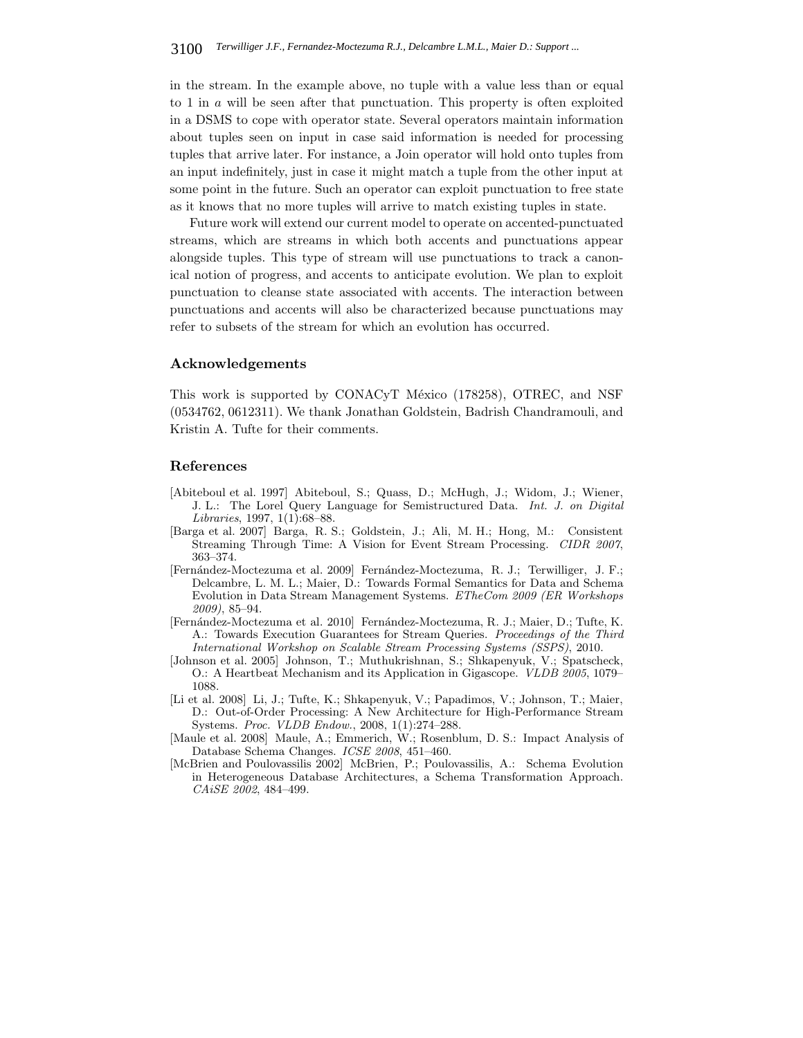in the stream. In the example above, no tuple with a value less than or equal to 1 in a will be seen after that punctuation. This property is often exploited in a DSMS to cope with operator state. Several operators maintain information about tuples seen on input in case said information is needed for processing tuples that arrive later. For instance, a Join operator will hold onto tuples from an input indefinitely, just in case it might match a tuple from the other input at some point in the future. Such an operator can exploit punctuation to free state as it knows that no more tuples will arrive to match existing tuples in state.

Future work will extend our current model to operate on accented-punctuated streams, which are streams in which both accents and punctuations appear alongside tuples. This type of stream will use punctuations to track a canonical notion of progress, and accents to anticipate evolution. We plan to exploit punctuation to cleanse state associated with accents. The interaction between punctuations and accents will also be characterized because punctuations may refer to subsets of the stream for which an evolution has occurred.

## **Acknowledgements**

This work is supported by CONACyT México (178258), OTREC, and NSF (0534762, 0612311). We thank Jonathan Goldstein, Badrish Chandramouli, and Kristin A. Tufte for their comments.

#### **References**

- [Abiteboul et al. 1997] Abiteboul, S.; Quass, D.; McHugh, J.; Widom, J.; Wiener, J. L.: The Lorel Query Language for Semistructured Data. *Int. J. on Digital Libraries*, 1997, 1(1):68–88.
- [Barga et al. 2007] Barga, R. S.; Goldstein, J.; Ali, M. H.; Hong, M.: Consistent Streaming Through Time: A Vision for Event Stream Processing. *CIDR 2007*, 363–374.
- [Fern´andez-Moctezuma et al. 2009] Fern´andez-Moctezuma, R. J.; Terwilliger, J. F.; Delcambre, L. M. L.; Maier, D.: Towards Formal Semantics for Data and Schema Evolution in Data Stream Management Systems. *ETheCom 2009 (ER Workshops 2009)*, 85–94.
- [Fern´andez-Moctezuma et al. 2010] Fern´andez-Moctezuma, R. J.; Maier, D.; Tufte, K. A.: Towards Execution Guarantees for Stream Queries. *Proceedings of the Third International Workshop on Scalable Stream Processing Systems (SSPS)*, 2010.
- [Johnson et al. 2005] Johnson, T.; Muthukrishnan, S.; Shkapenyuk, V.; Spatscheck, O.: A Heartbeat Mechanism and its Application in Gigascope. *VLDB 2005*, 1079– 1088.
- [Li et al. 2008] Li, J.; Tufte, K.; Shkapenyuk, V.; Papadimos, V.; Johnson, T.; Maier, D.: Out-of-Order Processing: A New Architecture for High-Performance Stream Systems. *Proc. VLDB Endow.*, 2008, 1(1):274–288.
- [Maule et al. 2008] Maule, A.; Emmerich, W.; Rosenblum, D. S.: Impact Analysis of Database Schema Changes. *ICSE 2008*, 451–460.
- [McBrien and Poulovassilis 2002] McBrien, P.; Poulovassilis, A.: Schema Evolution in Heterogeneous Database Architectures, a Schema Transformation Approach. *CAiSE 2002*, 484–499.